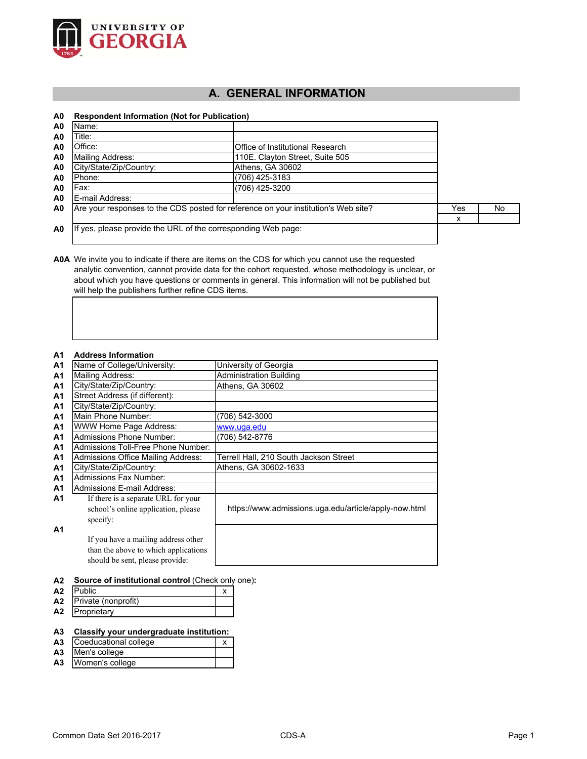

# **A. GENERAL INFORMATION**

## **A0 Respondent Information (Not for Publication)**

| A0             | Name:                                                                              |                                  |     |    |
|----------------|------------------------------------------------------------------------------------|----------------------------------|-----|----|
| A0             | Title:                                                                             |                                  |     |    |
| A0             | Office:                                                                            | Office of Institutional Research |     |    |
| A <sub>0</sub> | Mailing Address:                                                                   | 110E. Clayton Street, Suite 505  |     |    |
| A <sub>0</sub> | City/State/Zip/Country:                                                            | Athens, GA 30602                 |     |    |
| A <sub>0</sub> | .Phone:                                                                            | (706) 425-3183                   |     |    |
| A <sub>0</sub> | Fax:                                                                               | (706) 425-3200                   |     |    |
| A <sub>0</sub> | E-mail Address:                                                                    |                                  |     |    |
| A0             | Are your responses to the CDS posted for reference on your institution's Web site? |                                  | Yes | No |
|                |                                                                                    |                                  | x   |    |
| A0             | If yes, please provide the URL of the corresponding Web page:                      |                                  |     |    |

**A0A** We invite you to indicate if there are items on the CDS for which you cannot use the requested analytic convention, cannot provide data for the cohort requested, whose methodology is unclear, or about which you have questions or comments in general. This information will not be published but will help the publishers further refine CDS items.

#### **A1 Address Information**

| A I            | AUUIUSS IIIIUI IIIAUUII              |                                                       |
|----------------|--------------------------------------|-------------------------------------------------------|
| A <sub>1</sub> | Name of College/University:          | University of Georgia                                 |
| A <sub>1</sub> | Mailing Address:                     | <b>Administration Building</b>                        |
| A <sub>1</sub> | City/State/Zip/Country:              | Athens, GA 30602                                      |
| A <sub>1</sub> | Street Address (if different):       |                                                       |
| A1             | City/State/Zip/Country:              |                                                       |
| A <sub>1</sub> | Main Phone Number:                   | (706) 542-3000                                        |
| A1             | WWW Home Page Address:               | www.uqa.edu                                           |
| A <sub>1</sub> | <b>Admissions Phone Number:</b>      | (706) 542-8776                                        |
| A1             | Admissions Toll-Free Phone Number:   |                                                       |
| A1             | Admissions Office Mailing Address:   | Terrell Hall, 210 South Jackson Street                |
| A1             | City/State/Zip/Country:              | Athens, GA 30602-1633                                 |
| A <sub>1</sub> | <b>Admissions Fax Number:</b>        |                                                       |
| A <sub>1</sub> | <b>Admissions E-mail Address:</b>    |                                                       |
| A1             | If there is a separate URL for your  |                                                       |
|                | school's online application, please  | https://www.admissions.uga.edu/article/apply-now.html |
|                | specify:                             |                                                       |
| A1             |                                      |                                                       |
|                | If you have a mailing address other  |                                                       |
|                | than the above to which applications |                                                       |
|                | should be sent, please provide:      |                                                       |
|                |                                      |                                                       |

**A2 Source of institutional control** (Check only one)**:**

| A2 Public              |  |
|------------------------|--|
| A2 Private (nonprofit) |  |
| A2 Proprietary         |  |

#### **A3 Classify your undergraduate institution:**

- **A3** Coeducational college x
- **A3** Men's college
- **A3** Women's college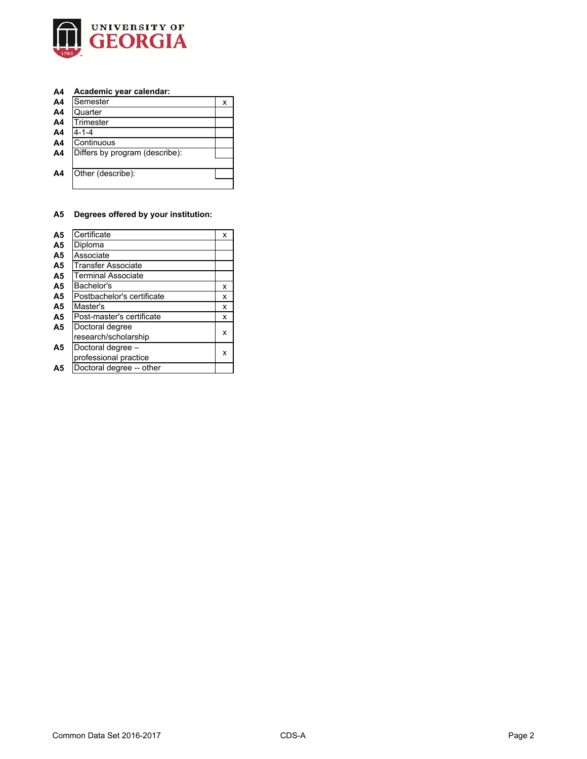

## **A4 Academic year calendar:**

| A4             | Semester                       | х |
|----------------|--------------------------------|---|
| A <sub>4</sub> | Quarter                        |   |
| A <sub>4</sub> | Trimester                      |   |
| A4             | $4 - 1 - 4$                    |   |
| A <sub>4</sub> | Continuous                     |   |
| A4             | Differs by program (describe): |   |
|                |                                |   |
| A4             | Other (describe):              |   |
|                |                                |   |

# **A5 Degrees offered by your institution:**

| A <sub>5</sub> | Certificate                | x |
|----------------|----------------------------|---|
| A <sub>5</sub> | Diploma                    |   |
| A <sub>5</sub> | Associate                  |   |
| A <sub>5</sub> | <b>Transfer Associate</b>  |   |
| A <sub>5</sub> | <b>Terminal Associate</b>  |   |
| A <sub>5</sub> | Bachelor's                 | x |
| A <sub>5</sub> | Postbachelor's certificate | x |
| A <sub>5</sub> | Master's                   | x |
| A <sub>5</sub> | Post-master's certificate  | x |
| A <sub>5</sub> | Doctoral degree            |   |
|                | research/scholarship       | x |
| A5             | Doctoral degree -          |   |
|                | professional practice      | x |
| Α5             | Doctoral degree -- other   |   |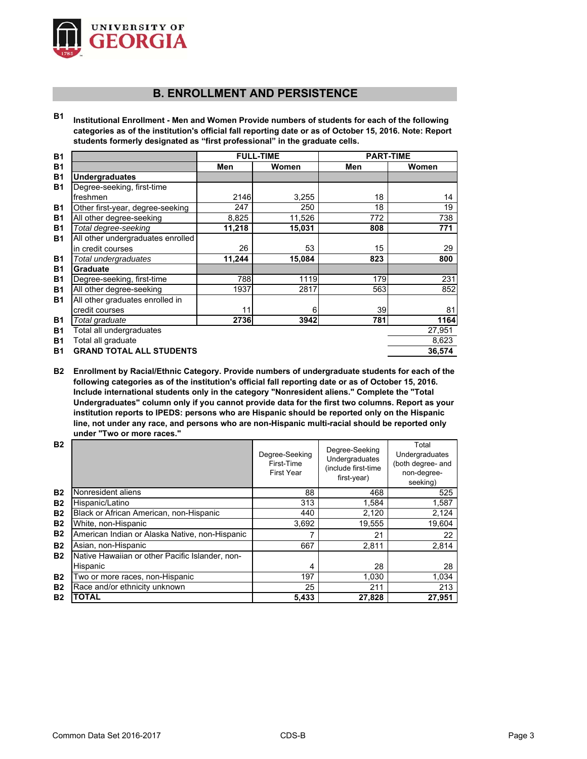

# **B. ENROLLMENT AND PERSISTENCE**

**B1 Institutional Enrollment - Men and Women Provide numbers of students for each of the following categories as of the institution's official fall reporting date or as of October 15, 2016. Note: Report students formerly designated as "first professional" in the graduate cells.**

| <b>B1</b> |                                   |        | <b>FULL-TIME</b> | <b>PART-TIME</b> |        |
|-----------|-----------------------------------|--------|------------------|------------------|--------|
| <b>B1</b> |                                   | Men    | Women            | Men              | Women  |
| <b>B1</b> | <b>Undergraduates</b>             |        |                  |                  |        |
| <b>B1</b> | Degree-seeking, first-time        |        |                  |                  |        |
|           | freshmen                          | 2146   | 3,255            | 18               | 14     |
| <b>B1</b> | Other first-year, degree-seeking  | 247    | 250              | 18               | 19     |
| <b>B1</b> | All other degree-seeking          | 8,825  | 11,526           | 772              | 738    |
| <b>B1</b> | Total degree-seeking              | 11,218 | 15,031           | 808              | 771    |
| <b>B1</b> | All other undergraduates enrolled |        |                  |                  |        |
|           | in credit courses                 | 26     | 53               | 15               | 29     |
| <b>B1</b> | Total undergraduates              | 11,244 | 15,084           | 823              | 800    |
| <b>B1</b> | Graduate                          |        |                  |                  |        |
| <b>B1</b> | Degree-seeking, first-time        | 788    | 1119             | 179              | 231    |
| <b>B1</b> | All other degree-seeking          | 1937   | 2817             | 563              | 852    |
| <b>B1</b> | All other graduates enrolled in   |        |                  |                  |        |
|           | credit courses                    | 11     | 6                | 39               | 81     |
| <b>B1</b> | Total graduate                    | 2736   | 3942             | 781              | 1164   |
| <b>B1</b> | Total all undergraduates          |        |                  |                  | 27,951 |
| <b>B1</b> | Total all graduate                |        |                  |                  | 8,623  |
| <b>B1</b> | <b>GRAND TOTAL ALL STUDENTS</b>   |        |                  |                  | 36,574 |

**B2 Enrollment by Racial/Ethnic Category. Provide numbers of undergraduate students for each of the following categories as of the institution's official fall reporting date or as of October 15, 2016. Include international students only in the category "Nonresident aliens." Complete the "Total Undergraduates" column only if you cannot provide data for the first two columns. Report as your institution reports to IPEDS: persons who are Hispanic should be reported only on the Hispanic line, not under any race, and persons who are non-Hispanic multi-racial should be reported only under "Two or more races."** 

| <b>B2</b>      |                                                 | Degree-Seeking<br>First-Time<br><b>First Year</b> | Degree-Seeking<br>Undergraduates<br>(include first-time<br>first-year) | Total<br>Undergraduates<br>(both degree- and<br>non-degree-<br>seeking) |
|----------------|-------------------------------------------------|---------------------------------------------------|------------------------------------------------------------------------|-------------------------------------------------------------------------|
| <b>B2</b>      | Nonresident aliens                              | 88                                                | 468                                                                    | 525                                                                     |
| <b>B2</b>      | Hispanic/Latino                                 | 313                                               | 1,584                                                                  | 1,587                                                                   |
| <b>B2</b>      | Black or African American, non-Hispanic         | 440                                               | 2,120                                                                  | 2,124                                                                   |
| <b>B2</b>      | White, non-Hispanic                             | 3,692                                             | 19,555                                                                 | 19,604                                                                  |
| <b>B2</b>      | American Indian or Alaska Native, non-Hispanic  |                                                   | 21                                                                     | 22                                                                      |
| <b>B2</b>      | Asian, non-Hispanic                             | 667                                               | 2,811                                                                  | 2,814                                                                   |
| <b>B2</b>      | Native Hawaiian or other Pacific Islander, non- |                                                   |                                                                        |                                                                         |
|                | Hispanic                                        | 4                                                 | 28                                                                     | 28                                                                      |
| <b>B2</b>      | Two or more races, non-Hispanic                 | 197                                               | 1,030                                                                  | 1,034                                                                   |
| <b>B2</b>      | Race and/or ethnicity unknown                   | 25                                                | 211                                                                    | 213                                                                     |
| B <sub>2</sub> | <b>TOTAL</b>                                    | 5,433                                             | 27,828                                                                 | 27,951                                                                  |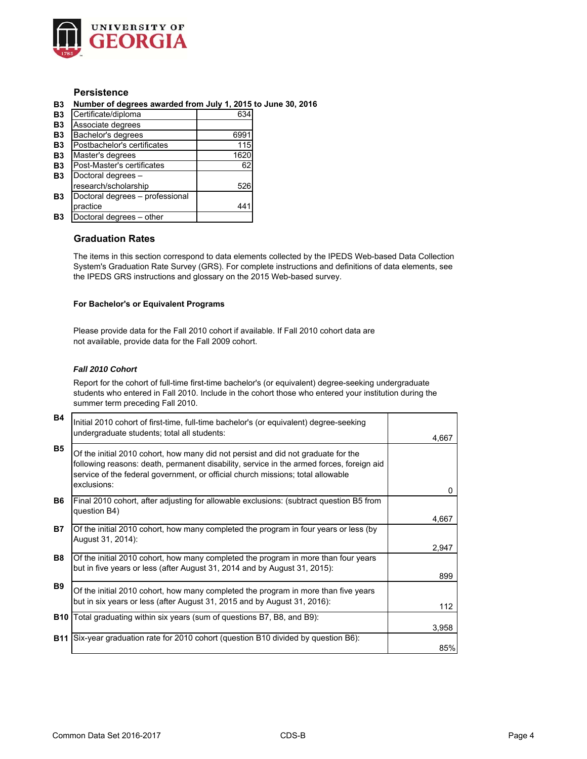

## **Persistence**

**B3 Number of degrees awarded from July 1, 2015 to June 30, 2016**

| B <sub>3</sub> | Certificate/diploma             | 634  |
|----------------|---------------------------------|------|
| B <sub>3</sub> | Associate degrees               |      |
| B <sub>3</sub> | Bachelor's degrees              | 6991 |
| <b>B3</b>      | Postbachelor's certificates     | 115  |
| B <sub>3</sub> | Master's degrees                | 1620 |
| B <sub>3</sub> | Post-Master's certificates      | 62   |
| B <sub>3</sub> | Doctoral degrees -              |      |
|                | research/scholarship            | 526  |
| B <sub>3</sub> | Doctoral degrees - professional |      |
|                | practice                        | 44   |
| B3             | Doctoral degrees - other        |      |

## **Graduation Rates**

The items in this section correspond to data elements collected by the IPEDS Web-based Data Collection System's Graduation Rate Survey (GRS). For complete instructions and definitions of data elements, see the IPEDS GRS instructions and glossary on the 2015 Web-based survey.

#### **For Bachelor's or Equivalent Programs**

Please provide data for the Fall 2010 cohort if available. If Fall 2010 cohort data are not available, provide data for the Fall 2009 cohort.

## *Fall 2010 Cohort*

Report for the cohort of full-time first-time bachelor's (or equivalent) degree-seeking undergraduate students who entered in Fall 2010. Include in the cohort those who entered your institution during the summer term preceding Fall 2010.

| <b>B4</b>  | Initial 2010 cohort of first-time, full-time bachelor's (or equivalent) degree-seeking<br>undergraduate students; total all students:                                                                                                                                           | 4,667    |
|------------|---------------------------------------------------------------------------------------------------------------------------------------------------------------------------------------------------------------------------------------------------------------------------------|----------|
| <b>B5</b>  | Of the initial 2010 cohort, how many did not persist and did not graduate for the<br>following reasons: death, permanent disability, service in the armed forces, foreign aid<br>service of the federal government, or official church missions; total allowable<br>exclusions: | $\Omega$ |
| <b>B6</b>  | Final 2010 cohort, after adjusting for allowable exclusions: (subtract question B5 from<br>question B4)                                                                                                                                                                         | 4,667    |
| <b>B7</b>  | Of the initial 2010 cohort, how many completed the program in four years or less (by<br>August 31, 2014):                                                                                                                                                                       | 2,947    |
| <b>B8</b>  | Of the initial 2010 cohort, how many completed the program in more than four years<br>but in five years or less (after August 31, 2014 and by August 31, 2015):                                                                                                                 | 899      |
| <b>B9</b>  | Of the initial 2010 cohort, how many completed the program in more than five years<br>but in six years or less (after August 31, 2015 and by August 31, 2016):                                                                                                                  | 112      |
| <b>B10</b> | Total graduating within six years (sum of questions B7, B8, and B9):                                                                                                                                                                                                            | 3,958    |
| <b>B11</b> | Six-year graduation rate for 2010 cohort (question B10 divided by question B6):                                                                                                                                                                                                 | 85%      |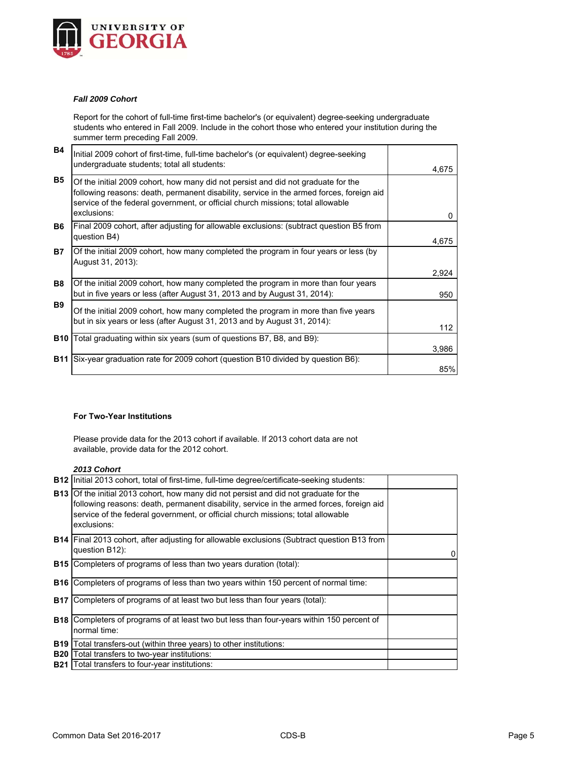

#### *Fall 2009 Cohort*

Report for the cohort of full-time first-time bachelor's (or equivalent) degree-seeking undergraduate students who entered in Fall 2009. Include in the cohort those who entered your institution during the summer term preceding Fall 2009.

| <b>B4</b>  | Initial 2009 cohort of first-time, full-time bachelor's (or equivalent) degree-seeking<br>undergraduate students; total all students:                                                                                                                                           | 4,675 |
|------------|---------------------------------------------------------------------------------------------------------------------------------------------------------------------------------------------------------------------------------------------------------------------------------|-------|
| <b>B5</b>  | Of the initial 2009 cohort, how many did not persist and did not graduate for the<br>following reasons: death, permanent disability, service in the armed forces, foreign aid<br>service of the federal government, or official church missions; total allowable<br>exclusions: | 0     |
| B6.        | [Final 2009 cohort, after adjusting for allowable exclusions: (subtract question B5 from<br>question B4)                                                                                                                                                                        | 4,675 |
| <b>B7</b>  | Of the initial 2009 cohort, how many completed the program in four years or less (by<br>August 31, 2013):                                                                                                                                                                       | 2,924 |
| <b>B8</b>  | Of the initial 2009 cohort, how many completed the program in more than four years<br>but in five years or less (after August 31, 2013 and by August 31, 2014):                                                                                                                 | 950   |
| <b>B</b> 9 | Of the initial 2009 cohort, how many completed the program in more than five years<br>but in six years or less (after August 31, 2013 and by August 31, 2014):                                                                                                                  | 112   |
| <b>B10</b> | Total graduating within six years (sum of questions B7, B8, and B9):                                                                                                                                                                                                            | 3,986 |
| <b>B11</b> | Six-year graduation rate for 2009 cohort (question B10 divided by question B6):                                                                                                                                                                                                 | 85%   |

#### **For Two-Year Institutions**

Please provide data for the 2013 cohort if available. If 2013 cohort data are not available, provide data for the 2012 cohort.

## *2013 Cohort*

|            | <b>B12</b> Initial 2013 cohort, total of first-time, full-time degree/certificate-seeking students:                                                                                                                                                                                        |          |
|------------|--------------------------------------------------------------------------------------------------------------------------------------------------------------------------------------------------------------------------------------------------------------------------------------------|----------|
|            | <b>B13</b> Of the initial 2013 cohort, how many did not persist and did not graduate for the<br>following reasons: death, permanent disability, service in the armed forces, foreign aid<br>service of the federal government, or official church missions; total allowable<br>exclusions: |          |
|            | <b>B14</b> Final 2013 cohort, after adjusting for allowable exclusions (Subtract question B13 from<br>question B12):                                                                                                                                                                       | $\Omega$ |
|            | <b>B15</b> Completers of programs of less than two years duration (total):                                                                                                                                                                                                                 |          |
|            | <b>B16</b> Completers of programs of less than two years within 150 percent of normal time:                                                                                                                                                                                                |          |
| <b>B17</b> | Completers of programs of at least two but less than four years (total):                                                                                                                                                                                                                   |          |
|            | <b>B18</b> Completers of programs of at least two but less than four-years within 150 percent of<br>normal time:                                                                                                                                                                           |          |
| <b>B19</b> | Total transfers-out (within three years) to other institutions:                                                                                                                                                                                                                            |          |
| <b>B20</b> | Total transfers to two-year institutions:                                                                                                                                                                                                                                                  |          |
| <b>B21</b> | Total transfers to four-year institutions:                                                                                                                                                                                                                                                 |          |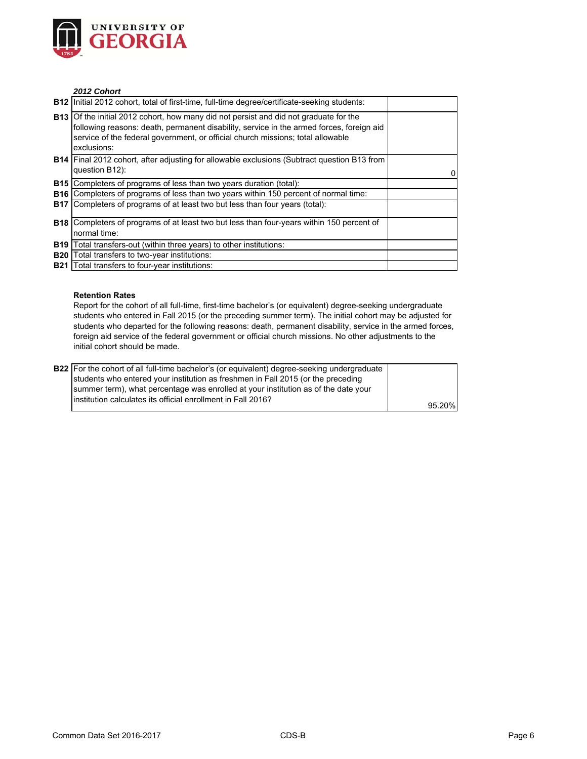

## *2012 Cohort*

| <b>B12</b> Initial 2012 cohort, total of first-time, full-time degree/certificate-seeking students:                                                                                                                                                                                        |   |
|--------------------------------------------------------------------------------------------------------------------------------------------------------------------------------------------------------------------------------------------------------------------------------------------|---|
| <b>B13</b> Of the initial 2012 cohort, how many did not persist and did not graduate for the<br>following reasons: death, permanent disability, service in the armed forces, foreign aid<br>service of the federal government, or official church missions; total allowable<br>exclusions: |   |
| <b>B14</b> Final 2012 cohort, after adjusting for allowable exclusions (Subtract question B13 from<br>question B12):                                                                                                                                                                       | 0 |
| <b>B15</b> Completers of programs of less than two years duration (total):                                                                                                                                                                                                                 |   |
| <b>B16</b> Completers of programs of less than two years within 150 percent of normal time:                                                                                                                                                                                                |   |
| <b>B17</b> Completers of programs of at least two but less than four years (total):                                                                                                                                                                                                        |   |
| <b>B18</b> Completers of programs of at least two but less than four-years within 150 percent of<br>normal time:                                                                                                                                                                           |   |
| <b>B19</b> Total transfers-out (within three years) to other institutions:                                                                                                                                                                                                                 |   |
| <b>B20</b> Total transfers to two-year institutions:                                                                                                                                                                                                                                       |   |
| <b>B21</b> Total transfers to four-year institutions:                                                                                                                                                                                                                                      |   |

#### **Retention Rates**

Report for the cohort of all full-time, first-time bachelor's (or equivalent) degree-seeking undergraduate students who entered in Fall 2015 (or the preceding summer term). The initial cohort may be adjusted for students who departed for the following reasons: death, permanent disability, service in the armed forces, foreign aid service of the federal government or official church missions. No other adjustments to the initial cohort should be made.

| <b>B22</b> For the cohort of all full-time bachelor's (or equivalent) degree-seeking undergraduate |        |
|----------------------------------------------------------------------------------------------------|--------|
| students who entered your institution as freshmen in Fall 2015 (or the preceding                   |        |
| summer term), what percentage was enrolled at your institution as of the date your                 |        |
| linstitution calculates its official enrollment in Fall 2016?                                      |        |
|                                                                                                    | 95.20% |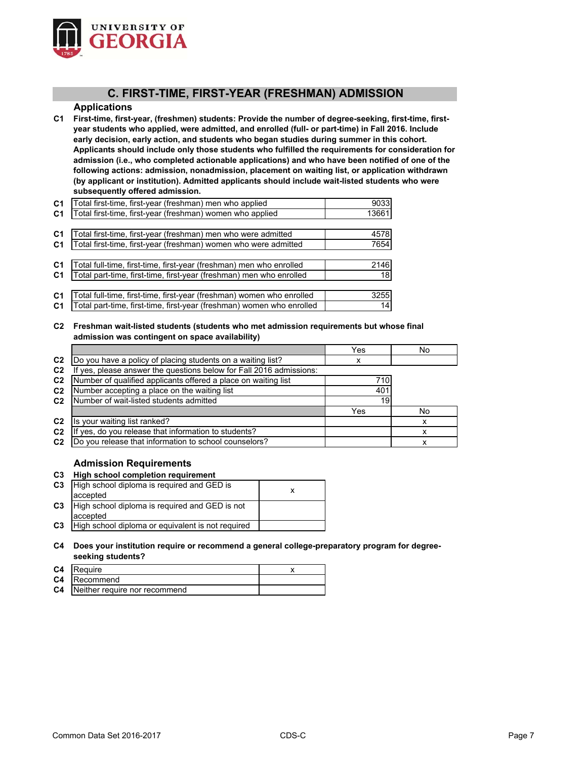

## **C. FIRST-TIME, FIRST-YEAR (FRESHMAN) ADMISSION**

## **Applications**

**C1 First-time, first-year, (freshmen) students: Provide the number of degree-seeking, first-time, firstyear students who applied, were admitted, and enrolled (full- or part-time) in Fall 2016. Include early decision, early action, and students who began studies during summer in this cohort. Applicants should include only those students who fulfilled the requirements for consideration for admission (i.e., who completed actionable applications) and who have been notified of one of the following actions: admission, nonadmission, placement on waiting list, or application withdrawn (by applicant or institution). Admitted applicants should include wait-listed students who were subsequently offered admission.**

| C <sub>1</sub> | Total first-time, first-year (freshman) men who applied               | 9033            |
|----------------|-----------------------------------------------------------------------|-----------------|
| C <sub>1</sub> | Total first-time, first-year (freshman) women who applied             | 13661           |
|                |                                                                       |                 |
| C <sub>1</sub> | Total first-time, first-year (freshman) men who were admitted         | 4578            |
| <b>C1</b>      | Total first-time, first-year (freshman) women who were admitted       | 7654            |
|                |                                                                       |                 |
| C <sub>1</sub> | Total full-time, first-time, first-year (freshman) men who enrolled   | 2146            |
| <b>C1</b>      | Total part-time, first-time, first-year (freshman) men who enrolled   | 18 <sup>l</sup> |
|                |                                                                       |                 |
| C <sub>1</sub> | Total full-time, first-time, first-year (freshman) women who enrolled | 3255            |
| <b>C1</b>      | Total part-time, first-time, first-year (freshman) women who enrolled | 14              |

**C2 Freshman wait-listed students (students who met admission requirements but whose final admission was contingent on space availability)**

|                |                                                                  | Yes | No |
|----------------|------------------------------------------------------------------|-----|----|
| C <sub>2</sub> | Do you have a policy of placing students on a waiting list?      | х   |    |
| C <sub>2</sub> | yes, please answer the questions below for Fall 2016 admissions: |     |    |
| C <sub>2</sub> | Number of qualified applicants offered a place on waiting list   | 710 |    |
| C <sub>2</sub> | Number accepting a place on the waiting list                     | 401 |    |
| C <sub>2</sub> | Number of wait-listed students admitted                          | 19  |    |
|                |                                                                  | Yes | No |
| C <sub>2</sub> | Is your waiting list ranked?                                     |     | х  |
| C <sub>2</sub> | If yes, do you release that information to students?             |     |    |
| C <sub>2</sub> | Do you release that information to school counselors?            |     |    |

## **Admission Requirements**

**C3 High school completion requirement**

| C <sub>3</sub> | High school diploma is required and GED is        |  |
|----------------|---------------------------------------------------|--|
|                | accepted                                          |  |
| C <sub>3</sub> | High school diploma is required and GED is not    |  |
|                | accepted                                          |  |
| C <sub>3</sub> | High school diploma or equivalent is not required |  |

## **C4 Does your institution require or recommend a general college-preparatory program for degreeseeking students?**

| C4 | Require                                 |  |
|----|-----------------------------------------|--|
|    | <b>C4</b> Recommend                     |  |
|    | <b>C4</b> Neither require nor recommend |  |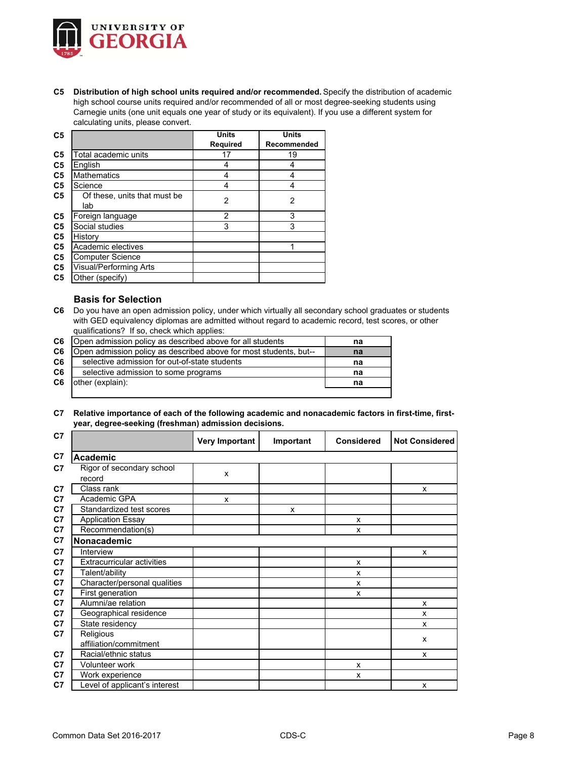

**C5 Distribution of high school units required and/or recommended.** Specify the distribution of academic high school course units required and/or recommended of all or most degree-seeking students using Carnegie units (one unit equals one year of study or its equivalent). If you use a different system for calculating units, please convert.

| C <sub>5</sub> |                                     | <b>Units</b>   | <b>Units</b> |
|----------------|-------------------------------------|----------------|--------------|
|                |                                     | Required       | Recommended  |
| C <sub>5</sub> | Total academic units                | 17             | 19           |
| C <sub>5</sub> | English                             | 4              | 4            |
| C <sub>5</sub> | <b>Mathematics</b>                  | 4              | 4            |
| C <sub>5</sub> | Science                             | 4              | 4            |
| C <sub>5</sub> | Of these, units that must be<br>lab | $\overline{2}$ | 2            |
| C <sub>5</sub> | Foreign language                    | 2              | 3            |
| C <sub>5</sub> | Social studies                      | 3              | 3            |
| C <sub>5</sub> | History                             |                |              |
| C <sub>5</sub> | Academic electives                  |                |              |
| C <sub>5</sub> | <b>Computer Science</b>             |                |              |
| C <sub>5</sub> | Visual/Performing Arts              |                |              |
| C <sub>5</sub> | Other (specify)                     |                |              |

## **Basis for Selection**

**C6** Do you have an open admission policy, under which virtually all secondary school graduates or students with GED equivalency diplomas are admitted without regard to academic record, test scores, or other qualifications? If so, check which applies:

| C6             | Open admission policy as described above for all students         | na |
|----------------|-------------------------------------------------------------------|----|
| C <sub>6</sub> | Open admission policy as described above for most students, but-- | na |
| C <sub>6</sub> | selective admission for out-of-state students                     | na |
| C <sub>6</sub> | selective admission to some programs                              | na |
| C6             | other (explain):                                                  | na |
|                |                                                                   |    |

**C7 Relative importance of each of the following academic and nonacademic factors in first-time, firstyear, degree-seeking (freshman) admission decisions.**

| C <sub>7</sub> |                                     | Very Important | Important | <b>Considered</b> | <b>Not Considered</b> |
|----------------|-------------------------------------|----------------|-----------|-------------------|-----------------------|
| C7             | <b>Academic</b>                     |                |           |                   |                       |
| C <sub>7</sub> | Rigor of secondary school<br>record | X              |           |                   |                       |
| C7             | Class rank                          |                |           |                   | x                     |
| C <sub>7</sub> | Academic GPA                        | X              |           |                   |                       |
| C <sub>7</sub> | Standardized test scores            |                | X         |                   |                       |
| C <sub>7</sub> | <b>Application Essay</b>            |                |           | X                 |                       |
| C <sub>7</sub> | Recommendation(s)                   |                |           | x                 |                       |
| C7             | Nonacademic                         |                |           |                   |                       |
| C <sub>7</sub> | Interview                           |                |           |                   | X                     |
| C <sub>7</sub> | <b>Extracurricular activities</b>   |                |           | X                 |                       |
| C7             | Talent/ability                      |                |           | X                 |                       |
| C7             | Character/personal qualities        |                |           | X                 |                       |
| C <sub>7</sub> | First generation                    |                |           | X                 |                       |
| C7             | Alumni/ae relation                  |                |           |                   | X                     |
| C <sub>7</sub> | Geographical residence              |                |           |                   | x                     |
| C <sub>7</sub> | State residency                     |                |           |                   | X                     |
| C7             | Religious<br>affiliation/commitment |                |           |                   | x                     |
| C7             | Racial/ethnic status                |                |           |                   | x                     |
| C7             | <b>Volunteer work</b>               |                |           | x                 |                       |
| C7             | Work experience                     |                |           | x                 |                       |
| C7             | Level of applicant's interest       |                |           |                   | X                     |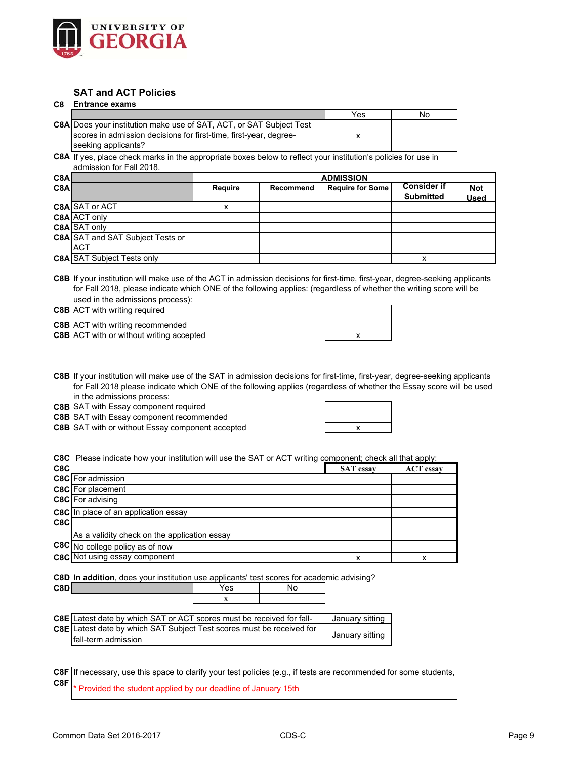

# **SAT and ACT Policies**

## **C8 Entrance exams**

|                                                                            | Yes | No |
|----------------------------------------------------------------------------|-----|----|
| <b>C8A Does your institution make use of SAT, ACT, or SAT Subject Test</b> |     |    |
| scores in admission decisions for first-time, first-year, degree-          |     |    |
| seeking applicants?                                                        |     |    |

**C8A** If yes, place check marks in the appropriate boxes below to reflect your institution's policies for use in admission for Fall 2018.

| C8A |                                         |         | <b>ADMISSION</b> |                  |                                        |                           |  |
|-----|-----------------------------------------|---------|------------------|------------------|----------------------------------------|---------------------------|--|
| C8A |                                         | Require | Recommend        | Require for Some | <b>Consider if</b><br><b>Submitted</b> | <b>Not</b><br><b>Used</b> |  |
|     | <b>C8A SAT or ACT</b>                   |         |                  |                  |                                        |                           |  |
|     | C8A ACT only                            |         |                  |                  |                                        |                           |  |
|     | C8A SAT only                            |         |                  |                  |                                        |                           |  |
|     | <b>C8A SAT and SAT Subject Tests or</b> |         |                  |                  |                                        |                           |  |
|     | <b>ACT</b>                              |         |                  |                  |                                        |                           |  |
|     | <b>C8A SAT Subject Tests only</b>       |         |                  |                  |                                        |                           |  |

**C8B** If your institution will make use of the ACT in admission decisions for first-time, first-year, degree-seeking applicants for Fall 2018, please indicate which ONE of the following applies: (regardless of whether the writing score will be used in the admissions process):

**C8B** ACT with writing required

**C8B** ACT with writing recommended

**C8B** ACT with or without writing accepted **the accept of the set of the set of the set of the set of the set of the set of the set of the set of the set of the set of the set of the set of the set of the set of the set of** 

| х |  |
|---|--|
|   |  |

**C8B** If your institution will make use of the SAT in admission decisions for first-time, first-year, degree-seeking applicants for Fall 2018 please indicate which ONE of the following applies (regardless of whether the Essay score will be used in the admissions process:

**C8B** SAT with Essay component required

**C8B** SAT with Essay component recommended

**C8B** SAT with or without Essay component accepted **the accepted** the state of  $\mathbf{x}$ 

|  | x |  |
|--|---|--|

**C8C** Please indicate how your institution will use the SAT or ACT writing component; check all that apply:

| C8C |                                              | <b>SAT</b> essay | <b>ACT</b> essay |
|-----|----------------------------------------------|------------------|------------------|
|     | <b>C8C</b> For admission                     |                  |                  |
|     | <b>C8C</b> For placement                     |                  |                  |
|     | C8C For advising                             |                  |                  |
|     | <b>C8C</b> In place of an application essay  |                  |                  |
| C8C |                                              |                  |                  |
|     | As a validity check on the application essay |                  |                  |
|     | C8C No college policy as of now              |                  |                  |
|     | <b>C8C</b> Not using essay component         | X                |                  |

**C8D In addition**, does your institution use applicants' test scores for academic advising?

| C8D | ′es<br>$ -$                       | ٦ı |
|-----|-----------------------------------|----|
|     | $\lambda$<br>$\ddot{\phantom{0}}$ |    |
|     |                                   |    |

| <b>C8E</b> Latest date by which SAT or ACT scores must be received for fall- | January sitting |
|------------------------------------------------------------------------------|-----------------|
| C8E Latest date by which SAT Subject Test scores must be received for        |                 |
| <b>fall-term admission</b>                                                   | January sitting |

**C8F C8F** Provided the student applied by our deadline of January 15th If necessary, use this space to clarify your test policies (e.g., if tests are recommended for some students,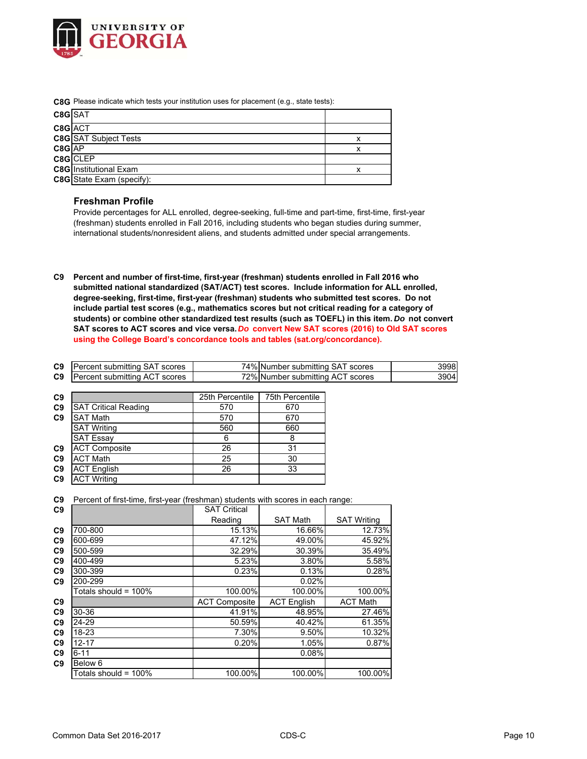

**C8G** Please indicate which tests your institution uses for placement (e.g., state tests):

| C8GSAT     |                               |   |
|------------|-------------------------------|---|
| C8G ACT    |                               |   |
|            | <b>C8G</b> SAT Subject Tests  | x |
| $C8G$ $AP$ |                               | x |
|            | C8G CLEP                      |   |
|            | <b>C8G</b> Institutional Exam |   |
|            | C8G State Exam (specify):     |   |

## **Freshman Profile**

Provide percentages for ALL enrolled, degree-seeking, full-time and part-time, first-time, first-year (freshman) students enrolled in Fall 2016, including students who began studies during summer, international students/nonresident aliens, and students admitted under special arrangements.

**C9 Percent and number of first-time, first-year (freshman) students enrolled in Fall 2016 who submitted national standardized (SAT/ACT) test scores. Include information for ALL enrolled, degree-seeking, first-time, first-year (freshman) students who submitted test scores. Do not include partial test scores (e.g., mathematics scores but not critical reading for a category of students) or combine other standardized test results (such as TOEFL) in this item.** *Do* **not convert SAT scores to ACT scores and vice versa.** *Do* **convert New SAT scores (2016) to Old SAT scores using the College Board's concordance tools and tables (sat.org/concordance).**

| C9 | <b>Percent submitting SAT scores</b> | 74% Number submitting SAT scores | 3998 |
|----|--------------------------------------|----------------------------------|------|
| C9 | Percent submitting ACT scores        | 72% Number submitting ACT scores | 3904 |

| C <sub>9</sub> |                             | 25th Percentile | 75th Percentile |
|----------------|-----------------------------|-----------------|-----------------|
| C <sub>9</sub> | <b>SAT Critical Reading</b> | 570             | 670             |
| C9             | <b>SAT Math</b>             | 570             | 670             |
|                | <b>SAT Writing</b>          | 560             | 660             |
|                | <b>SAT Essay</b>            | 6               | 8               |
| C <sub>9</sub> | <b>ACT Composite</b>        | 26              | 31              |
| C <sub>9</sub> | <b>ACT Math</b>             | 25              | 30              |
| C <sub>9</sub> | <b>ACT English</b>          | 26              | 33              |
| C <sub>9</sub> | <b>ACT Writing</b>          |                 |                 |

|  |  |  |  |  | C9 Percent of first-time, first-year (freshman) students with scores in each range: |
|--|--|--|--|--|-------------------------------------------------------------------------------------|
|--|--|--|--|--|-------------------------------------------------------------------------------------|

| C <sub>9</sub> |                         | <b>SAT Critical</b>  |                    |                    |
|----------------|-------------------------|----------------------|--------------------|--------------------|
|                |                         | Reading              | <b>SAT Math</b>    | <b>SAT Writing</b> |
| C <sub>9</sub> | 700-800                 | 15.13%               | 16.66%             | 12.73%             |
| C <sub>9</sub> | 600-699                 | 47.12%               | 49.00%             | 45.92%             |
| C <sub>9</sub> | 500-599                 | 32.29%               | 30.39%             | 35.49%             |
| C <sub>9</sub> | 400-499                 | 5.23%                | 3.80%              | 5.58%              |
| C <sub>9</sub> | 300-399                 | 0.23%                | 0.13%              | 0.28%              |
| C <sub>9</sub> | 200-299                 |                      | 0.02%              |                    |
|                | Totals should = $100\%$ | 100.00%              | 100.00%            | 100.00%            |
| C <sub>9</sub> |                         | <b>ACT Composite</b> | <b>ACT English</b> | <b>ACT Math</b>    |
| C <sub>9</sub> | 30-36                   | 41.91%               | 48.95%             | 27.46%             |
| C <sub>9</sub> | 24-29                   | 50.59%               | 40.42%             | 61.35%             |
| C <sub>9</sub> | 18-23                   | 7.30%                | 9.50%              | 10.32%             |
| C <sub>9</sub> | $12 - 17$               | 0.20%                | 1.05%              | 0.87%              |
| C <sub>9</sub> | $6 - 11$                |                      | 0.08%              |                    |
| C <sub>9</sub> | Below 6                 |                      |                    |                    |
|                | Totals should = $100\%$ | 100.00%              | 100.00%            | 100.00%            |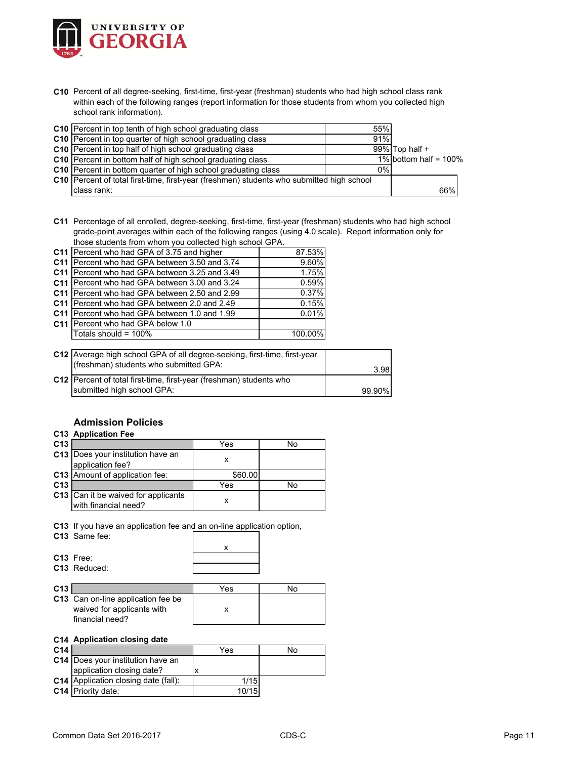

**C10** Percent of all degree-seeking, first-time, first-year (freshman) students who had high school class rank within each of the following ranges (report information for those students from whom you collected high school rank information).

| <b>C10</b> Percent in top tenth of high school graduating class                           | 55% |                          |  |
|-------------------------------------------------------------------------------------------|-----|--------------------------|--|
| <b>C10</b> Percent in top quarter of high school graduating class                         | 91% |                          |  |
| <b>C10</b> Percent in top half of high school graduating class                            |     | 99% Top half $+$         |  |
| C10 Percent in bottom half of high school graduating class                                |     | 1% bottom half = $100\%$ |  |
| <b>C10</b> Percent in bottom quarter of high school graduating class                      | 0%  |                          |  |
| C10 Percent of total first-time, first-year (freshmen) students who submitted high school |     |                          |  |
| class rank:                                                                               |     | 66%                      |  |

**C11** Percentage of all enrolled, degree-seeking, first-time, first-year (freshman) students who had high school grade-point averages within each of the following ranges (using 4.0 scale). Report information only for those students from whom you collected high school GPA.

| C11 Percent who had GPA of 3.75 and higher    | 87.53%  |
|-----------------------------------------------|---------|
| C11 Percent who had GPA between 3.50 and 3.74 | 9.60%   |
| C11 Percent who had GPA between 3.25 and 3.49 | 1.75%   |
| C11 Percent who had GPA between 3.00 and 3.24 | 0.59%   |
| C11 Percent who had GPA between 2.50 and 2.99 | 0.37%   |
| C11 Percent who had GPA between 2.0 and 2.49  | 0.15%   |
| C11 Percent who had GPA between 1.0 and 1.99  | 0.01%   |
| C11 Percent who had GPA below 1.0             |         |
| Totals should = 100%                          | 100.00% |
|                                               |         |

| C12 Average high school GPA of all degree-seeking, first-time, first-year<br>(freshman) students who submitted GPA: | 3.98   |
|---------------------------------------------------------------------------------------------------------------------|--------|
| C12 Percent of total first-time, first-year (freshman) students who<br>submitted high school GPA:                   | 99.90% |
|                                                                                                                     |        |

## **Admission Policies**

## **C13 Application Fee**

| C <sub>13</sub> |                                                             | Yes     | N٥ |
|-----------------|-------------------------------------------------------------|---------|----|
|                 | C13 Does your institution have an<br>application fee?       |         |    |
|                 | C13 Amount of application fee:                              | \$60.00 |    |
| C <sub>13</sub> |                                                             | Yes     | N٥ |
|                 | C13 Can it be waived for applicants<br>with financial need? |         |    |

**C13** If you have an application fee and an on-line application option,

| C13 Same fee:            |  |
|--------------------------|--|
|                          |  |
| C13 Free:                |  |
| C <sub>13</sub> Reduced: |  |
|                          |  |

| C13 |                                                                                            | Yes | N٥ |
|-----|--------------------------------------------------------------------------------------------|-----|----|
|     | <b>C13</b> Can on-line application fee be<br>waived for applicants with<br>financial need? |     |    |

#### **C14 Application closing date**

| C <sub>14</sub> |                                             | Yes   | No |
|-----------------|---------------------------------------------|-------|----|
|                 | <b>C14</b> Does your institution have an    |       |    |
|                 | application closing date?                   |       |    |
|                 | <b>C14</b> Application closing date (fall): | 1/15  |    |
|                 | C14 Priority date:                          | 10/15 |    |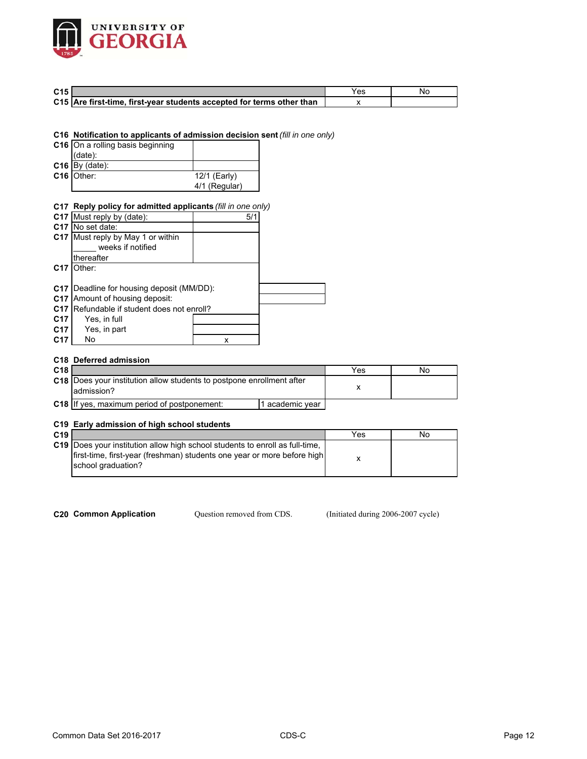

| C <sub>15</sub> |                                                                       | Yes |  |
|-----------------|-----------------------------------------------------------------------|-----|--|
|                 | C15 Are first-time, first-year students accepted for terms other than |     |  |

**C16 Notification to applicants of admission decision sent** *(fill in one only)*

| C16 On a rolling basis beginning |               |
|----------------------------------|---------------|
| (data):                          |               |
| $C16$ By (date):                 |               |
| C16 Other:                       | 12/1 (Early)  |
|                                  | 4/1 (Regular) |

## **C17 Reply policy for admitted applicants** *(fill in one only)*

|                 | C17 Must reply by (date):                        | 5/1 |  |
|-----------------|--------------------------------------------------|-----|--|
|                 | C <sub>17</sub> IN <sub>o</sub> set date:        |     |  |
| C17             | Must reply by May 1 or within                    |     |  |
|                 | weeks if notified                                |     |  |
|                 | thereafter                                       |     |  |
| C <sub>17</sub> | Other:                                           |     |  |
|                 |                                                  |     |  |
|                 | <b>C17</b> Deadline for housing deposit (MM/DD): |     |  |
| C17             | Amount of housing deposit:                       |     |  |
| C <sub>17</sub> | Refundable if student does not enroll?           |     |  |
| C <sub>17</sub> | Yes, in full                                     |     |  |
| C17             | Yes, in part                                     |     |  |
| C <sub>17</sub> | No                                               | x   |  |

#### **C18 Deferred admission**

| C <sub>18</sub> |                                                                                            |                 | Yes | No |
|-----------------|--------------------------------------------------------------------------------------------|-----------------|-----|----|
|                 | <b>C18</b> Does your institution allow students to postpone enrollment after<br>admission? |                 |     |    |
|                 | <b>C18</b> If yes, maximum period of postponement:                                         | i academic year |     |    |

## **C19 Early admission of high school students**

| C <sub>19</sub> |                                                                                               | Yes | No |
|-----------------|-----------------------------------------------------------------------------------------------|-----|----|
|                 | C19 IDoes your institution allow high school students to enroll as full-time.                 |     |    |
|                 | first-time, first-year (freshman) students one year or more before high<br>school graduation? |     |    |

Question removed from CDS.

**C20 Common Application Question removed from CDS.** (Initiated during 2006-2007 cycle)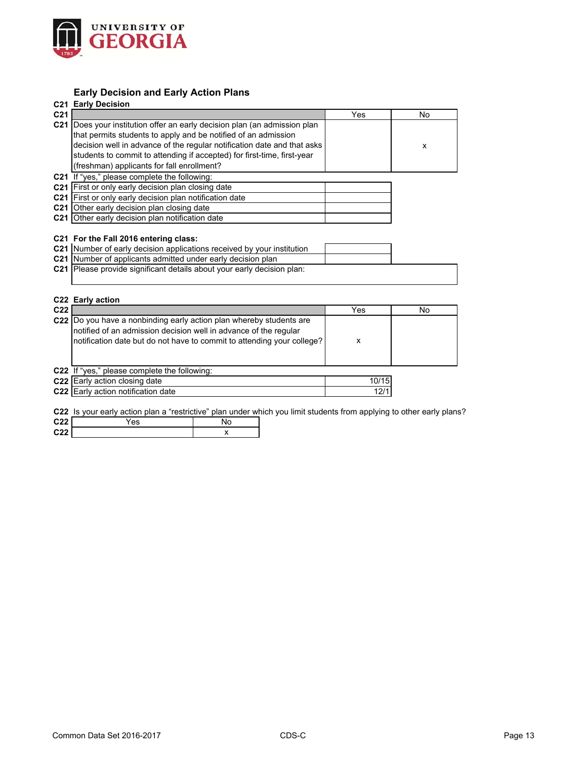

# **Early Decision and Early Action Plans**

|                 | <b>C21 Early Decision</b>                                                  |       |    |
|-----------------|----------------------------------------------------------------------------|-------|----|
| C <sub>21</sub> |                                                                            | Yes   | No |
|                 | C21  Does your institution offer an early decision plan (an admission plan |       |    |
|                 | that permits students to apply and be notified of an admission             |       |    |
|                 | decision well in advance of the regular notification date and that asks    |       | x  |
|                 | students to commit to attending if accepted) for first-time, first-year    |       |    |
|                 | (freshman) applicants for fall enrollment?                                 |       |    |
|                 | C21 If "yes," please complete the following:                               |       |    |
|                 | C21 First or only early decision plan closing date                         |       |    |
|                 | C21 First or only early decision plan notification date                    |       |    |
|                 | C <sub>21</sub> Other early decision plan closing date                     |       |    |
|                 | C21 Other early decision plan notification date                            |       |    |
|                 |                                                                            |       |    |
|                 | C21 For the Fall 2016 entering class:                                      |       |    |
|                 | C21 Number of early decision applications received by your institution     |       |    |
|                 | C21 Number of applicants admitted under early decision plan                |       |    |
|                 | C21 Please provide significant details about your early decision plan:     |       |    |
|                 |                                                                            |       |    |
|                 |                                                                            |       |    |
|                 | C22 Early action                                                           |       |    |
| C <sub>22</sub> |                                                                            | Yes   | No |
|                 | C22  Do you have a nonbinding early action plan whereby students are       |       |    |
|                 | notified of an admission decision well in advance of the regular           |       |    |
|                 | notification date but do not have to commit to attending your college?     | X     |    |
|                 |                                                                            |       |    |
|                 |                                                                            |       |    |
|                 | C22 If "yes," please complete the following:                               | 10/15 |    |
|                 | C22 Early action closing date                                              |       |    |
|                 | <b>C22</b> Early action notification date                                  | 12/1  |    |

**C22** Is your early action plan a "restrictive" plan under which you limit students from applying to other early plans?

| C <sub>22</sub> | es' | 'ΝU |
|-----------------|-----|-----|
| 0.22            |     |     |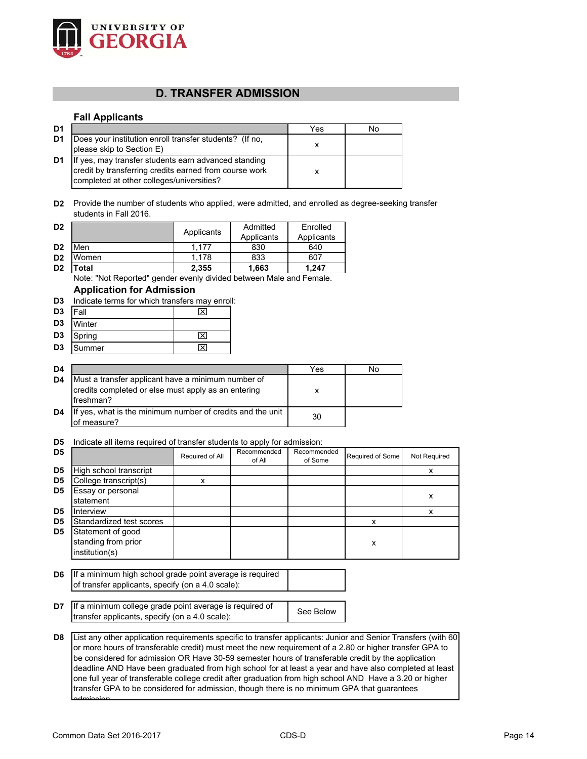

# **D. TRANSFER ADMISSION**

## **Fall Applicants**

| D1             |                                                                                                                                                             | Yes | No. |
|----------------|-------------------------------------------------------------------------------------------------------------------------------------------------------------|-----|-----|
| D <sub>1</sub> | Does your institution enroll transfer students? (If no,<br>please skip to Section E)                                                                        | x   |     |
| D1             | If yes, may transfer students earn advanced standing<br>credit by transferring credits earned from course work<br>completed at other colleges/universities? |     |     |

**D2** Provide the number of students who applied, were admitted, and enrolled as degree-seeking transfer students in Fall 2016.

| D <sub>2</sub> |                   | Applicants | Admitted   | Enrolled   |
|----------------|-------------------|------------|------------|------------|
|                |                   |            | Applicants | Applicants |
| D <sub>2</sub> | Men               | 1.177      | 830        | 640        |
| D <sub>2</sub> | Women             | 1.178      | 833        | 607        |
| D <sub>2</sub> | otal <sup>.</sup> | 2,355      | 1,663      | 1.247      |

Note: "Not Reported" gender evenly divided between Male and Female.

# **Application for Admission**

| D3             | Indicate terms for which transfers may enroll: |  |  |  |  |  |
|----------------|------------------------------------------------|--|--|--|--|--|
| D <sub>3</sub> | <b>IFall</b>                                   |  |  |  |  |  |
| D3             | Winter                                         |  |  |  |  |  |
| D3             | Spring                                         |  |  |  |  |  |
|                |                                                |  |  |  |  |  |

| D <sub>4</sub> |                                                                                                                        | Yes | No |
|----------------|------------------------------------------------------------------------------------------------------------------------|-----|----|
| D <sub>4</sub> | Must a transfer applicant have a minimum number of<br>credits completed or else must apply as an entering<br>freshman? |     |    |
| D4             | If yes, what is the minimum number of credits and the unit<br>of measure?                                              | 30  |    |

## **D5** Indicate all items required of transfer students to apply for admission:

|                | to an itomo roquirou or transier etauonto to apply for aumitou                                                                                                                                                                                                                                                                                                                                                                                                                                                                                        |                 |                       |                        |                  |              |
|----------------|-------------------------------------------------------------------------------------------------------------------------------------------------------------------------------------------------------------------------------------------------------------------------------------------------------------------------------------------------------------------------------------------------------------------------------------------------------------------------------------------------------------------------------------------------------|-----------------|-----------------------|------------------------|------------------|--------------|
| D5             |                                                                                                                                                                                                                                                                                                                                                                                                                                                                                                                                                       | Required of All | Recommended<br>of All | Recommended<br>of Some | Required of Some | Not Required |
| D <sub>5</sub> | High school transcript                                                                                                                                                                                                                                                                                                                                                                                                                                                                                                                                |                 |                       |                        |                  | x            |
| D <sub>5</sub> | College transcript(s)                                                                                                                                                                                                                                                                                                                                                                                                                                                                                                                                 | x               |                       |                        |                  |              |
| D5             | Essay or personal                                                                                                                                                                                                                                                                                                                                                                                                                                                                                                                                     |                 |                       |                        |                  | X            |
|                | statement                                                                                                                                                                                                                                                                                                                                                                                                                                                                                                                                             |                 |                       |                        |                  |              |
| D5             | Interview                                                                                                                                                                                                                                                                                                                                                                                                                                                                                                                                             |                 |                       |                        |                  | x            |
| D <sub>5</sub> | Standardized test scores                                                                                                                                                                                                                                                                                                                                                                                                                                                                                                                              |                 |                       |                        | x                |              |
| D5             | Statement of good<br>standing from prior<br>institution(s)                                                                                                                                                                                                                                                                                                                                                                                                                                                                                            |                 |                       |                        | X                |              |
|                |                                                                                                                                                                                                                                                                                                                                                                                                                                                                                                                                                       |                 |                       |                        |                  |              |
| D6             | If a minimum high school grade point average is required<br>of transfer applicants, specify (on a 4.0 scale):                                                                                                                                                                                                                                                                                                                                                                                                                                         |                 |                       |                        |                  |              |
| D7             | If a minimum college grade point average is required of<br>transfer applicants, specify (on a 4.0 scale):                                                                                                                                                                                                                                                                                                                                                                                                                                             |                 |                       | See Below              |                  |              |
| D8             | List any other application requirements specific to transfer applicants: Junior and Senior Transfers (with 60)<br>or more hours of transferable credit) must meet the new requirement of a 2.80 or higher transfer GPA to<br>be considered for admission OR Have 30-59 semester hours of transferable credit by the application<br>deadline AND Have been graduated from high school for at least a year and have also completed at least<br>one full year of transferable college credit after graduation from high school AND Have a 3.20 or higher |                 |                       |                        |                  |              |

transfer GPA to be considered for admission, though there is no minimum GPA that guarantees

admission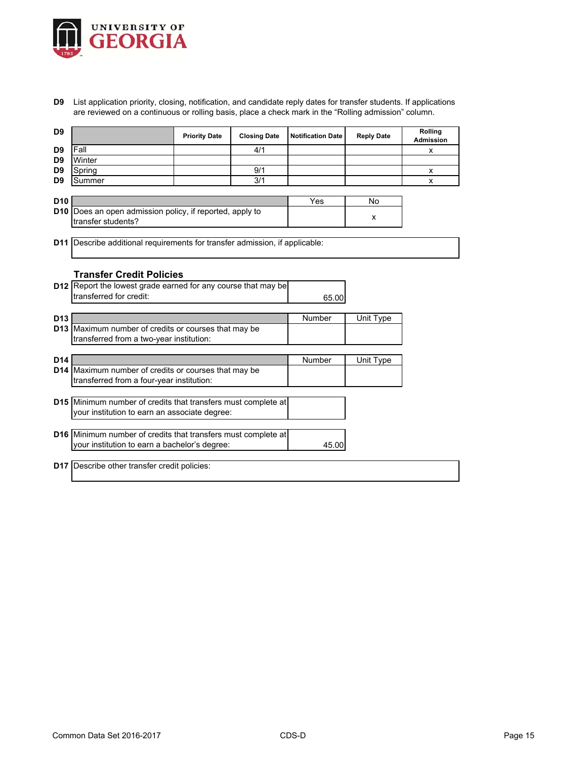

**D9** List application priority, closing, notification, and candidate reply dates for transfer students. If applications are reviewed on a continuous or rolling basis, place a check mark in the "Rolling admission" column.

| D <sub>9</sub>  |                                                                                          | <b>Priority Date</b> | <b>Closing Date</b> | <b>Notification Date</b> | <b>Reply Date</b> | Rolling<br><b>Admission</b> |
|-----------------|------------------------------------------------------------------------------------------|----------------------|---------------------|--------------------------|-------------------|-----------------------------|
| D <sub>9</sub>  | Fall                                                                                     |                      | 4/1                 |                          |                   | x                           |
| D <sub>9</sub>  | Winter                                                                                   |                      |                     |                          |                   |                             |
| D <sub>9</sub>  | Spring                                                                                   |                      | 9/1                 |                          |                   | x                           |
| D <sub>9</sub>  | Summer                                                                                   |                      | 3/1                 |                          |                   | х                           |
|                 |                                                                                          |                      |                     |                          |                   |                             |
| D <sub>10</sub> |                                                                                          |                      |                     | Yes                      | No                |                             |
|                 | D10 Does an open admission policy, if reported, apply to                                 |                      |                     |                          | x                 |                             |
|                 | transfer students?                                                                       |                      |                     |                          |                   |                             |
|                 |                                                                                          |                      |                     |                          |                   |                             |
|                 | <b>D11</b> Describe additional requirements for transfer admission, if applicable:       |                      |                     |                          |                   |                             |
|                 |                                                                                          |                      |                     |                          |                   |                             |
|                 | <b>Transfer Credit Policies</b>                                                          |                      |                     |                          |                   |                             |
|                 |                                                                                          |                      |                     |                          |                   |                             |
|                 | D12 Report the lowest grade earned for any course that may be<br>transferred for credit: |                      |                     |                          |                   |                             |
|                 |                                                                                          |                      |                     | 65.00                    |                   |                             |
| D <sub>13</sub> |                                                                                          |                      |                     |                          |                   |                             |
|                 | D13 Maximum number of credits or courses that may be                                     |                      |                     | Number                   | Unit Type         |                             |
|                 | transferred from a two-year institution:                                                 |                      |                     |                          |                   |                             |
|                 |                                                                                          |                      |                     |                          |                   |                             |
| D <sub>14</sub> |                                                                                          |                      |                     | Number                   | Unit Type         |                             |
|                 | D14 Maximum number of credits or courses that may be                                     |                      |                     |                          |                   |                             |
|                 | transferred from a four-year institution:                                                |                      |                     |                          |                   |                             |
|                 |                                                                                          |                      |                     |                          |                   |                             |
|                 | D15 Minimum number of credits that transfers must complete at                            |                      |                     |                          |                   |                             |
|                 | your institution to earn an associate degree:                                            |                      |                     |                          |                   |                             |
|                 |                                                                                          |                      |                     |                          |                   |                             |
|                 | D16 Minimum number of credits that transfers must complete at                            |                      |                     |                          |                   |                             |
|                 | your institution to earn a bachelor's degree:                                            |                      |                     | 45.00                    |                   |                             |
|                 |                                                                                          |                      |                     |                          |                   |                             |
|                 | D17 Describe other transfer credit policies:                                             |                      |                     |                          |                   |                             |
|                 |                                                                                          |                      |                     |                          |                   |                             |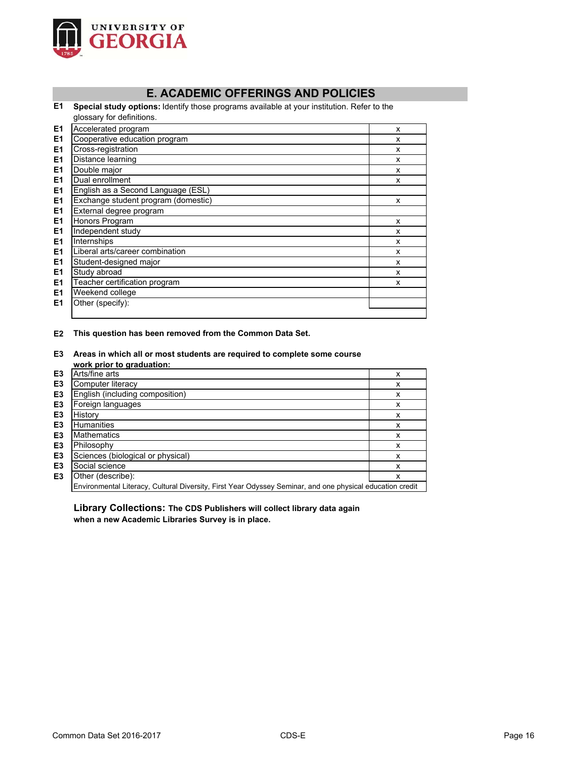

# **E. ACADEMIC OFFERINGS AND POLICIES**

**E1 Special study options:** Identify those programs available at your institution. Refer to the glossary for definitions.

| E <sub>1</sub> | Accelerated program                 | X |
|----------------|-------------------------------------|---|
| E <sub>1</sub> | Cooperative education program       | X |
| E <sub>1</sub> | Cross-registration                  | X |
| E <sub>1</sub> | Distance learning                   | X |
| E <sub>1</sub> | Double major                        | X |
| E <sub>1</sub> | Dual enrollment                     | X |
| E <sub>1</sub> | English as a Second Language (ESL)  |   |
| E <sub>1</sub> | Exchange student program (domestic) | X |
| E <sub>1</sub> | External degree program             |   |
| E <sub>1</sub> | Honors Program                      | X |
| E <sub>1</sub> | Independent study                   | X |
| E <sub>1</sub> | Internships                         | X |
| E <sub>1</sub> | Liberal arts/career combination     | X |
| E <sub>1</sub> | Student-designed major              | X |
| E <sub>1</sub> | Study abroad                        | X |
| E <sub>1</sub> | Teacher certification program       | X |
| E <sub>1</sub> | Weekend college                     |   |
| E <sub>1</sub> | Other (specify):                    |   |
|                |                                     |   |

#### **E2 This question has been removed from the Common Data Set.**

#### **E3 Areas in which all or most students are required to complete some course work prior to graduation:**

| E <sub>3</sub> | Arts/fine arts                                                                                            | x |
|----------------|-----------------------------------------------------------------------------------------------------------|---|
| E <sub>3</sub> | Computer literacy                                                                                         | x |
| E <sub>3</sub> | English (including composition)                                                                           | х |
| E <sub>3</sub> | Foreign languages                                                                                         | x |
| E <sub>3</sub> | History                                                                                                   | x |
| E <sub>3</sub> | <b>Humanities</b>                                                                                         | x |
| E <sub>3</sub> | <b>Mathematics</b>                                                                                        | x |
| E <sub>3</sub> | Philosophy                                                                                                | x |
| E <sub>3</sub> | Sciences (biological or physical)                                                                         | x |
| E <sub>3</sub> | Social science                                                                                            | x |
| E <sub>3</sub> | Other (describe):                                                                                         | x |
|                | Environmental Literacy, Cultural Diversity, First Year Odyssey Seminar, and one physical education credit |   |

**Library Collections: The CDS Publishers will collect library data again when a new Academic Libraries Survey is in place.**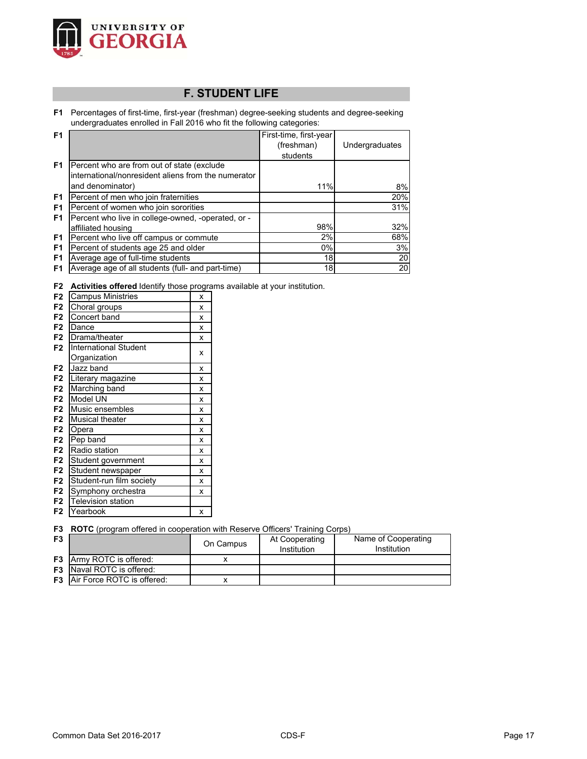

# **F. STUDENT LIFE**

**F1** Percentages of first-time, first-year (freshman) degree-seeking students and degree-seeking undergraduates enrolled in Fall 2016 who fit the following categories:

| F <sub>1</sub> |                                                     | First-time, first-year |                |
|----------------|-----------------------------------------------------|------------------------|----------------|
|                |                                                     | (freshman)             | Undergraduates |
|                |                                                     | students               |                |
| F <sub>1</sub> | Percent who are from out of state (exclude          |                        |                |
|                | international/nonresident aliens from the numerator |                        |                |
|                | and denominator)                                    | 11%                    | 8%             |
| F <sub>1</sub> | Percent of men who join fraternities                |                        | 20%            |
| F <sub>1</sub> | Percent of women who join sororities                |                        | 31%            |
| F <sub>1</sub> | Percent who live in college-owned, -operated, or -  |                        |                |
|                | affiliated housing                                  | 98%                    | 32%            |
| F <sub>1</sub> | Percent who live off campus or commute              | 2%                     | 68%            |
| F <sub>1</sub> | Percent of students age 25 and older                | $0\%$                  | 3%             |
| F <sub>1</sub> | Average age of full-time students                   | 18                     | 20             |
| F <sub>1</sub> | Average age of all students (full- and part-time)   | 18                     | 20             |

**F2 Activities offered** Identify those programs available at your institution.

| F <sub>2</sub> | <b>Campus Ministries</b>     | x |
|----------------|------------------------------|---|
| F <sub>2</sub> | Choral groups                | X |
| F <sub>2</sub> | Concert band                 | X |
| F <sub>2</sub> | Dance                        | X |
| F <sub>2</sub> | Drama/theater                | X |
| F <sub>2</sub> | <b>International Student</b> |   |
|                | Organization                 | X |
| F <sub>2</sub> | Jazz band                    | x |
| F <sub>2</sub> | Literary magazine            | X |
| F <sub>2</sub> | Marching band                | X |
| F <sub>2</sub> | Model UN                     | X |
| F <sub>2</sub> | Music ensembles              | X |
| F <sub>2</sub> | <b>Musical theater</b>       | X |
| F <sub>2</sub> | Opera                        | X |
| F <sub>2</sub> | Pep band                     | X |
| F <sub>2</sub> | Radio station                | X |
| F <sub>2</sub> | Student government           | X |
| F <sub>2</sub> | Student newspaper            | X |
| F <sub>2</sub> | Student-run film society     | X |
| F <sub>2</sub> | Symphony orchestra           | X |
| F <sub>2</sub> | <b>Television station</b>    |   |
| F <sub>2</sub> | Yearbook                     | x |
|                |                              |   |

**F3 ROTC** (program offered in cooperation with Reserve Officers' Training Corps)

| F3 |                                      | On Campus | At Cooperating<br>Institution | Name of Cooperating<br>Institution |
|----|--------------------------------------|-----------|-------------------------------|------------------------------------|
|    | <b>F3</b> Army ROTC is offered:      |           |                               |                                    |
|    | <b>F3</b> Naval ROTC is offered:     |           |                               |                                    |
|    | <b>F3</b> Air Force ROTC is offered: |           |                               |                                    |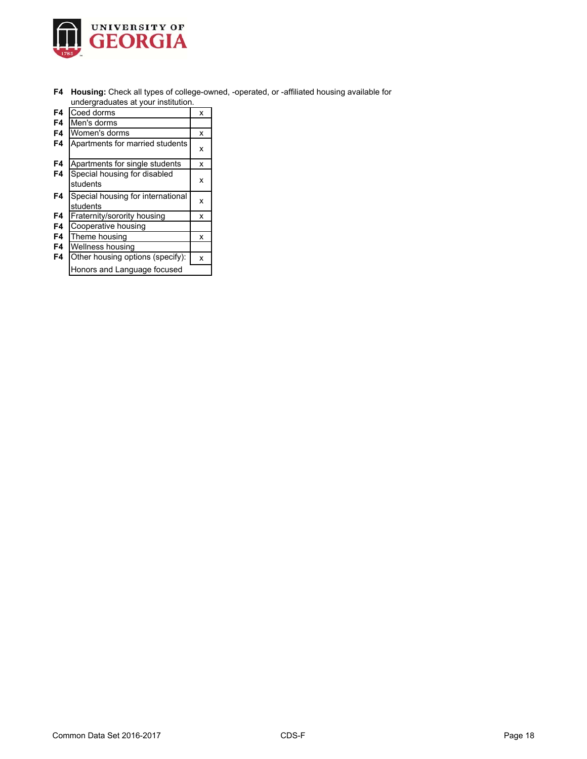

**F4 Housing:** Check all types of college-owned, -operated, or -affiliated housing available for undergraduates at your institution.

|    | anacigiaaaatoo at your inolitation.           |   |
|----|-----------------------------------------------|---|
| F4 | Coed dorms                                    | x |
| F4 | Men's dorms                                   |   |
| F4 | Women's dorms                                 | x |
| F4 | Apartments for married students               | x |
| F4 | Apartments for single students                | x |
| F4 | Special housing for disabled<br>students      | x |
| F4 | Special housing for international<br>students | x |
| F4 | Fraternity/sorority housing                   | x |
| F4 | Cooperative housing                           |   |
| F4 | Theme housing                                 | x |
| F4 | Wellness housing                              |   |
| F4 | Other housing options (specify):              | x |
|    | Honors and Language focused                   |   |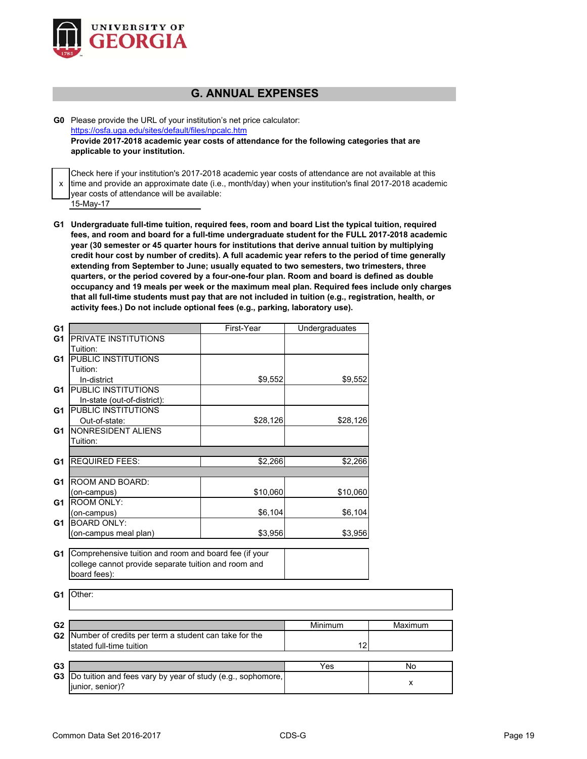

# **G. ANNUAL EXPENSES**

**G0** Please provide the URL of your institution's net price calculator: https://osfa.uga.edu/sites/default/files/npcalc.htm **Provide 2017-2018 academic year costs of attendance for the following categories that are applicable to your institution.**

x 15-May-17 Check here if your institution's 2017-2018 academic year costs of attendance are not available at this time and provide an approximate date (i.e., month/day) when your institution's final 2017-2018 academic year costs of attendance will be available:

**G1 Undergraduate full-time tuition, required fees, room and board List the typical tuition, required fees, and room and board for a full-time undergraduate student for the FULL 2017-2018 academic year (30 semester or 45 quarter hours for institutions that derive annual tuition by multiplying credit hour cost by number of credits). A full academic year refers to the period of time generally extending from September to June; usually equated to two semesters, two trimesters, three quarters, or the period covered by a four-one-four plan. Room and board is defined as double occupancy and 19 meals per week or the maximum meal plan. Required fees include only charges that all full-time students must pay that are not included in tuition (e.g., registration, health, or activity fees.) Do not include optional fees (e.g., parking, laboratory use).**

| <b>PRIVATE INSTITUTIONS</b><br>G <sub>1</sub><br>Tuition:<br><b>PUBLIC INSTITUTIONS</b><br>G1<br>Tuition:<br>In-district<br>\$9,552<br>\$9,552<br><b>PUBLIC INSTITUTIONS</b><br>G1<br>In-state (out-of-district):<br><b>PUBLIC INSTITUTIONS</b><br>G1<br>Out-of-state:<br>\$28,126<br>\$28,126<br><b>NONRESIDENT ALIENS</b><br>G1<br>Tuition:<br><b>REQUIRED FEES:</b><br>\$2,266<br>G <sub>1</sub><br>\$2,266<br>ROOM AND BOARD:<br>G <sub>1</sub><br>\$10,060<br>(on-campus)<br>\$10,060<br>ROOM ONLY:<br>G <sub>1</sub><br>(on-campus)<br>\$6,104<br>\$6,104<br><b>BOARD ONLY:</b><br>G <sub>1</sub><br>(on-campus meal plan)<br>\$3,956<br>\$3,956<br>Comprehensive tuition and room and board fee (if your<br>G1<br>college cannot provide separate tuition and room and<br>board fees):<br>Other:<br>G <sub>1</sub><br>G <sub>2</sub><br>Minimum<br>Maximum<br>G2<br>Number of credits per term a student can take for the<br>stated full-time tuition<br>12<br>G <sub>3</sub><br>Yes<br>No<br>G <sub>3</sub><br>Do tuition and fees vary by year of study (e.g., sophomore,<br>x<br>junior, senior)? | G <sub>1</sub> | First-Year | Undergraduates |  |
|-------------------------------------------------------------------------------------------------------------------------------------------------------------------------------------------------------------------------------------------------------------------------------------------------------------------------------------------------------------------------------------------------------------------------------------------------------------------------------------------------------------------------------------------------------------------------------------------------------------------------------------------------------------------------------------------------------------------------------------------------------------------------------------------------------------------------------------------------------------------------------------------------------------------------------------------------------------------------------------------------------------------------------------------------------------------------------------------------------------|----------------|------------|----------------|--|
|                                                                                                                                                                                                                                                                                                                                                                                                                                                                                                                                                                                                                                                                                                                                                                                                                                                                                                                                                                                                                                                                                                             |                |            |                |  |
|                                                                                                                                                                                                                                                                                                                                                                                                                                                                                                                                                                                                                                                                                                                                                                                                                                                                                                                                                                                                                                                                                                             |                |            |                |  |
|                                                                                                                                                                                                                                                                                                                                                                                                                                                                                                                                                                                                                                                                                                                                                                                                                                                                                                                                                                                                                                                                                                             |                |            |                |  |
|                                                                                                                                                                                                                                                                                                                                                                                                                                                                                                                                                                                                                                                                                                                                                                                                                                                                                                                                                                                                                                                                                                             |                |            |                |  |
|                                                                                                                                                                                                                                                                                                                                                                                                                                                                                                                                                                                                                                                                                                                                                                                                                                                                                                                                                                                                                                                                                                             |                |            |                |  |
|                                                                                                                                                                                                                                                                                                                                                                                                                                                                                                                                                                                                                                                                                                                                                                                                                                                                                                                                                                                                                                                                                                             |                |            |                |  |
|                                                                                                                                                                                                                                                                                                                                                                                                                                                                                                                                                                                                                                                                                                                                                                                                                                                                                                                                                                                                                                                                                                             |                |            |                |  |
|                                                                                                                                                                                                                                                                                                                                                                                                                                                                                                                                                                                                                                                                                                                                                                                                                                                                                                                                                                                                                                                                                                             |                |            |                |  |
|                                                                                                                                                                                                                                                                                                                                                                                                                                                                                                                                                                                                                                                                                                                                                                                                                                                                                                                                                                                                                                                                                                             |                |            |                |  |
|                                                                                                                                                                                                                                                                                                                                                                                                                                                                                                                                                                                                                                                                                                                                                                                                                                                                                                                                                                                                                                                                                                             |                |            |                |  |
|                                                                                                                                                                                                                                                                                                                                                                                                                                                                                                                                                                                                                                                                                                                                                                                                                                                                                                                                                                                                                                                                                                             |                |            |                |  |
|                                                                                                                                                                                                                                                                                                                                                                                                                                                                                                                                                                                                                                                                                                                                                                                                                                                                                                                                                                                                                                                                                                             |                |            |                |  |
|                                                                                                                                                                                                                                                                                                                                                                                                                                                                                                                                                                                                                                                                                                                                                                                                                                                                                                                                                                                                                                                                                                             |                |            |                |  |
|                                                                                                                                                                                                                                                                                                                                                                                                                                                                                                                                                                                                                                                                                                                                                                                                                                                                                                                                                                                                                                                                                                             |                |            |                |  |
|                                                                                                                                                                                                                                                                                                                                                                                                                                                                                                                                                                                                                                                                                                                                                                                                                                                                                                                                                                                                                                                                                                             |                |            |                |  |
|                                                                                                                                                                                                                                                                                                                                                                                                                                                                                                                                                                                                                                                                                                                                                                                                                                                                                                                                                                                                                                                                                                             |                |            |                |  |
|                                                                                                                                                                                                                                                                                                                                                                                                                                                                                                                                                                                                                                                                                                                                                                                                                                                                                                                                                                                                                                                                                                             |                |            |                |  |
|                                                                                                                                                                                                                                                                                                                                                                                                                                                                                                                                                                                                                                                                                                                                                                                                                                                                                                                                                                                                                                                                                                             |                |            |                |  |
|                                                                                                                                                                                                                                                                                                                                                                                                                                                                                                                                                                                                                                                                                                                                                                                                                                                                                                                                                                                                                                                                                                             |                |            |                |  |
|                                                                                                                                                                                                                                                                                                                                                                                                                                                                                                                                                                                                                                                                                                                                                                                                                                                                                                                                                                                                                                                                                                             |                |            |                |  |
|                                                                                                                                                                                                                                                                                                                                                                                                                                                                                                                                                                                                                                                                                                                                                                                                                                                                                                                                                                                                                                                                                                             |                |            |                |  |
|                                                                                                                                                                                                                                                                                                                                                                                                                                                                                                                                                                                                                                                                                                                                                                                                                                                                                                                                                                                                                                                                                                             |                |            |                |  |
|                                                                                                                                                                                                                                                                                                                                                                                                                                                                                                                                                                                                                                                                                                                                                                                                                                                                                                                                                                                                                                                                                                             |                |            |                |  |
|                                                                                                                                                                                                                                                                                                                                                                                                                                                                                                                                                                                                                                                                                                                                                                                                                                                                                                                                                                                                                                                                                                             |                |            |                |  |
|                                                                                                                                                                                                                                                                                                                                                                                                                                                                                                                                                                                                                                                                                                                                                                                                                                                                                                                                                                                                                                                                                                             |                |            |                |  |
|                                                                                                                                                                                                                                                                                                                                                                                                                                                                                                                                                                                                                                                                                                                                                                                                                                                                                                                                                                                                                                                                                                             |                |            |                |  |
|                                                                                                                                                                                                                                                                                                                                                                                                                                                                                                                                                                                                                                                                                                                                                                                                                                                                                                                                                                                                                                                                                                             |                |            |                |  |
|                                                                                                                                                                                                                                                                                                                                                                                                                                                                                                                                                                                                                                                                                                                                                                                                                                                                                                                                                                                                                                                                                                             |                |            |                |  |
|                                                                                                                                                                                                                                                                                                                                                                                                                                                                                                                                                                                                                                                                                                                                                                                                                                                                                                                                                                                                                                                                                                             |                |            |                |  |
|                                                                                                                                                                                                                                                                                                                                                                                                                                                                                                                                                                                                                                                                                                                                                                                                                                                                                                                                                                                                                                                                                                             |                |            |                |  |
|                                                                                                                                                                                                                                                                                                                                                                                                                                                                                                                                                                                                                                                                                                                                                                                                                                                                                                                                                                                                                                                                                                             |                |            |                |  |
|                                                                                                                                                                                                                                                                                                                                                                                                                                                                                                                                                                                                                                                                                                                                                                                                                                                                                                                                                                                                                                                                                                             |                |            |                |  |
|                                                                                                                                                                                                                                                                                                                                                                                                                                                                                                                                                                                                                                                                                                                                                                                                                                                                                                                                                                                                                                                                                                             |                |            |                |  |
|                                                                                                                                                                                                                                                                                                                                                                                                                                                                                                                                                                                                                                                                                                                                                                                                                                                                                                                                                                                                                                                                                                             |                |            |                |  |
|                                                                                                                                                                                                                                                                                                                                                                                                                                                                                                                                                                                                                                                                                                                                                                                                                                                                                                                                                                                                                                                                                                             |                |            |                |  |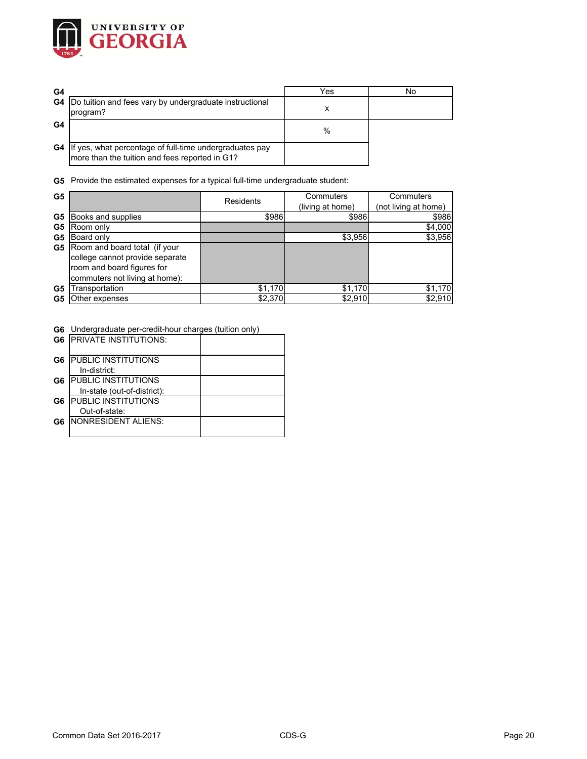

| G4 |                                                                                                              | Yes  | No |
|----|--------------------------------------------------------------------------------------------------------------|------|----|
|    | <b>G4</b> Do tuition and fees vary by undergraduate instructional<br>program?                                |      |    |
| G4 |                                                                                                              | $\%$ |    |
|    | G4 If yes, what percentage of full-time undergraduates pay<br>more than the tuition and fees reported in G1? |      |    |

**G5** Provide the estimated expenses for a typical full-time undergraduate student:

| G <sub>5</sub> |                                         | Residents | Commuters        | Commuters            |
|----------------|-----------------------------------------|-----------|------------------|----------------------|
|                |                                         |           | (living at home) | (not living at home) |
| G5             | Books and supplies                      | \$986     | \$986            | \$986                |
| G5             | Room only                               |           |                  | \$4,000              |
| G5             | Board only                              |           | \$3,956          | \$3,956              |
|                | <b>G5</b> Room and board total (if your |           |                  |                      |
|                | college cannot provide separate         |           |                  |                      |
|                | room and board figures for              |           |                  |                      |
|                | commuters not living at home):          |           |                  |                      |
| G5             | Transportation                          | \$1,170   | \$1,170          | \$1,170              |
| G5             | Other expenses                          | \$2,370   | \$2,910          | \$2,910              |

**G6** Undergraduate per-credit-hour charges (tuition only)

|    | <b>G6 IPRIVATE INSTITUTIONS:</b> |  |
|----|----------------------------------|--|
| G6 | <b>PUBLIC INSTITUTIONS</b>       |  |
|    | In-district:                     |  |
| G6 | <b>PUBLIC INSTITUTIONS</b>       |  |
|    | In-state (out-of-district):      |  |
| G6 | <b>PUBLIC INSTITUTIONS</b>       |  |
|    | Out-of-state:                    |  |
| G6 | <b>INONRESIDENT ALIENS:</b>      |  |
|    |                                  |  |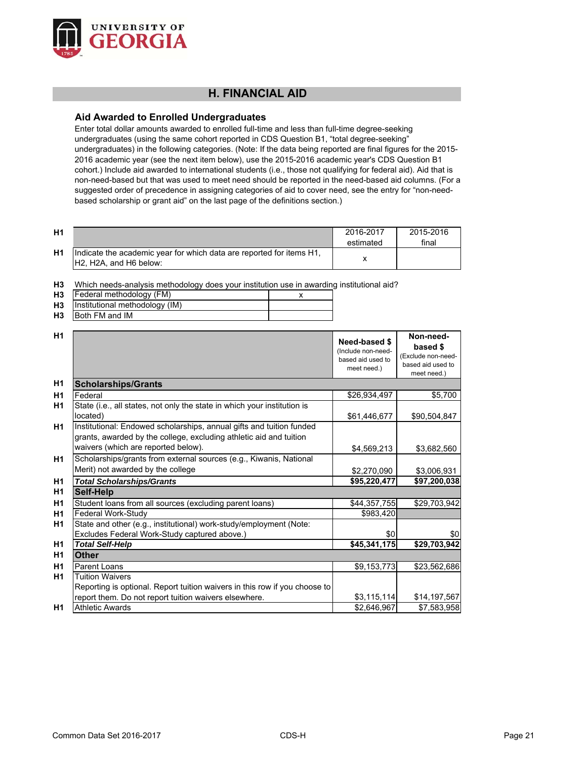

# **H. FINANCIAL AID**

## **Aid Awarded to Enrolled Undergraduates**

Enter total dollar amounts awarded to enrolled full-time and less than full-time degree-seeking undergraduates (using the same cohort reported in CDS Question B1, "total degree-seeking" undergraduates) in the following categories. (Note: If the data being reported are final figures for the 2015- 2016 academic year (see the next item below), use the 2015-2016 academic year's CDS Question B1 cohort.) Include aid awarded to international students (i.e., those not qualifying for federal aid). Aid that is non-need-based but that was used to meet need should be reported in the need-based aid columns. (For a suggested order of precedence in assigning categories of aid to cover need, see the entry for "non-needbased scholarship or grant aid" on the last page of the definitions section.)

| <b>H1</b> |                                                                                                 | 2016-2017<br>estimated | 2015-2016<br>final |
|-----------|-------------------------------------------------------------------------------------------------|------------------------|--------------------|
| H1        | Indicate the academic year for which data are reported for items H1,<br>IH2. H2A. and H6 below: |                        |                    |

**H3** Which needs-analysis methodology does your institution use in awarding institutional aid?

| H3   Federal methodology (FM)     |  |
|-----------------------------------|--|
| H3 Institutional methodology (IM) |  |
| <b>H3</b> Both FM and IM          |  |

| H1             |                                                                                                                                            | Need-based \$<br>(Include non-need-<br>based aid used to<br>meet need.) | Non-need-<br>based \$<br>(Exclude non-need-<br>based aid used to<br>meet need.) |
|----------------|--------------------------------------------------------------------------------------------------------------------------------------------|-------------------------------------------------------------------------|---------------------------------------------------------------------------------|
| H1             | <b>Scholarships/Grants</b>                                                                                                                 |                                                                         |                                                                                 |
| H1             | Federal                                                                                                                                    | \$26,934,497                                                            | \$5,700                                                                         |
| H1             | State (i.e., all states, not only the state in which your institution is<br>located)                                                       | \$61,446,677                                                            | \$90,504,847                                                                    |
| H1             | Institutional: Endowed scholarships, annual gifts and tuition funded<br>grants, awarded by the college, excluding athletic aid and tuition |                                                                         |                                                                                 |
|                | waivers (which are reported below).                                                                                                        | \$4,569,213                                                             | \$3,682,560                                                                     |
| H <sub>1</sub> | Scholarships/grants from external sources (e.g., Kiwanis, National                                                                         |                                                                         |                                                                                 |
|                | Merit) not awarded by the college                                                                                                          | \$2,270,090                                                             | \$3,006,931                                                                     |
| H <sub>1</sub> | <b>Total Scholarships/Grants</b>                                                                                                           | \$95,220,477                                                            | \$97,200,038                                                                    |
| H1             | Self-Help                                                                                                                                  |                                                                         |                                                                                 |
| H1             | Student loans from all sources (excluding parent loans)                                                                                    | \$44,357,755                                                            | \$29,703,942                                                                    |
| H1             | Federal Work-Study                                                                                                                         | \$983,420                                                               |                                                                                 |
| H1             | State and other (e.g., institutional) work-study/employment (Note:                                                                         |                                                                         |                                                                                 |
|                | Excludes Federal Work-Study captured above.)                                                                                               | \$0                                                                     | \$0                                                                             |
| H1             | <b>Total Self-Help</b>                                                                                                                     | \$45,341,175                                                            | \$29,703,942                                                                    |
| <b>H1</b>      | <b>Other</b>                                                                                                                               |                                                                         |                                                                                 |
| H1             | Parent Loans                                                                                                                               | \$9,153,773                                                             | \$23,562,686                                                                    |
| <b>H1</b>      | <b>Tuition Waivers</b>                                                                                                                     |                                                                         |                                                                                 |
|                | Reporting is optional. Report tuition waivers in this row if you choose to                                                                 |                                                                         |                                                                                 |
|                | report them. Do not report tuition waivers elsewhere.                                                                                      | \$3,115,114                                                             | \$14,197,567                                                                    |
| H1             | <b>Athletic Awards</b>                                                                                                                     | \$2,646,967                                                             | \$7,583,958                                                                     |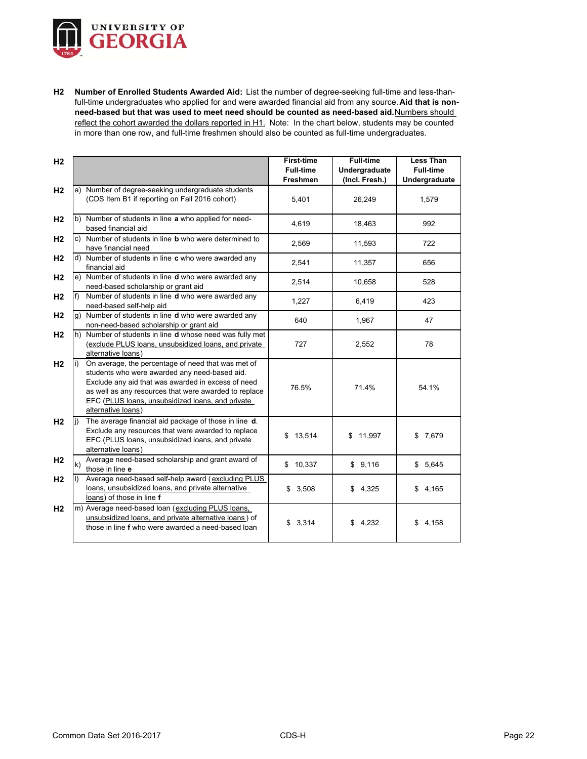

**H2 Number of Enrolled Students Awarded Aid:** List the number of degree-seeking full-time and less-thanfull-time undergraduates who applied for and were awarded financial aid from any source. **Aid that is nonneed-based but that was used to meet need should be counted as need-based aid.** Numbers should reflect the cohort awarded the dollars reported in H1. Note: In the chart below, students may be counted in more than one row, and full-time freshmen should also be counted as full-time undergraduates.

| H <sub>2</sub> |                                                                                                                                                                                                                                                                                              | <b>First-time</b><br><b>Full-time</b> | <b>Full-time</b><br>Undergraduate | <b>Less Than</b><br><b>Full-time</b> |
|----------------|----------------------------------------------------------------------------------------------------------------------------------------------------------------------------------------------------------------------------------------------------------------------------------------------|---------------------------------------|-----------------------------------|--------------------------------------|
|                |                                                                                                                                                                                                                                                                                              | <b>Freshmen</b>                       | (Incl. Fresh.)                    | Undergraduate                        |
| H <sub>2</sub> | a) Number of degree-seeking undergraduate students<br>(CDS Item B1 if reporting on Fall 2016 cohort)                                                                                                                                                                                         | 5,401                                 | 26,249                            | 1,579                                |
| H <sub>2</sub> | b) Number of students in line a who applied for need-<br>based financial aid                                                                                                                                                                                                                 | 4,619                                 | 18,463                            | 992                                  |
| H <sub>2</sub> | Number of students in line <b>b</b> who were determined to<br>c)<br>have financial need                                                                                                                                                                                                      | 2,569                                 | 11,593                            | 722                                  |
| H <sub>2</sub> | d) Number of students in line c who were awarded any<br>financial aid                                                                                                                                                                                                                        | 2,541                                 | 11,357                            | 656                                  |
| H <sub>2</sub> | e) Number of students in line d who were awarded any<br>need-based scholarship or grant aid                                                                                                                                                                                                  | 2,514                                 | 10,658                            | 528                                  |
| H <sub>2</sub> | Number of students in line d who were awarded any<br>need-based self-help aid                                                                                                                                                                                                                | 1,227                                 | 6,419                             | 423                                  |
| H <sub>2</sub> | g) Number of students in line <b>d</b> who were awarded any<br>non-need-based scholarship or grant aid                                                                                                                                                                                       | 640                                   | 1,967                             | 47                                   |
| H <sub>2</sub> | h) Number of students in line <b>d</b> whose need was fully met<br>(exclude PLUS loans, unsubsidized loans, and private<br>alternative loans)                                                                                                                                                | 727                                   | 2,552                             | 78                                   |
| H <sub>2</sub> | On average, the percentage of need that was met of<br>students who were awarded any need-based aid.<br>Exclude any aid that was awarded in excess of need<br>as well as any resources that were awarded to replace<br>EFC (PLUS loans, unsubsidized loans, and private<br>alternative loans) | 76.5%                                 | 71.4%                             | 54.1%                                |
| H <sub>2</sub> | The average financial aid package of those in line d.<br>Exclude any resources that were awarded to replace<br>EFC (PLUS loans, unsubsidized loans, and private<br>alternative loans)                                                                                                        | \$13,514                              | 11,997<br>\$                      | \$7,679                              |
| H <sub>2</sub> | Average need-based scholarship and grant award of<br>k)<br>those in line e                                                                                                                                                                                                                   | \$10,337                              | \$9,116                           | \$5,645                              |
| H <sub>2</sub> | Average need-based self-help award (excluding PLUS<br>loans, unsubsidized loans, and private alternative<br>loans) of those in line f                                                                                                                                                        | \$3,508                               | \$4,325                           | \$4,165                              |
| H <sub>2</sub> | m) Average need-based loan (excluding PLUS loans,<br>unsubsidized loans, and private alternative loans) of<br>those in line f who were awarded a need-based loan                                                                                                                             | \$3,314                               | \$4,232                           | \$4,158                              |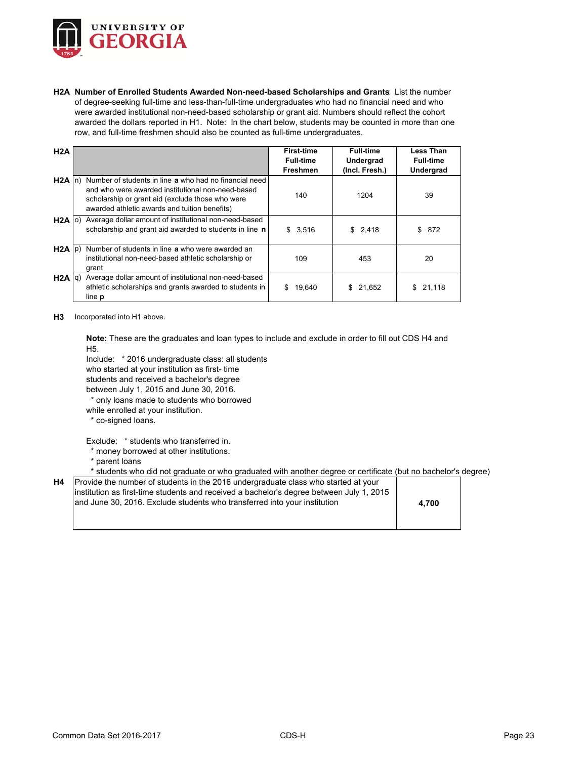

**H2A Number of Enrolled Students Awarded Non-need-based Scholarships and Grants**: List the number of degree-seeking full-time and less-than-full-time undergraduates who had no financial need and who were awarded institutional non-need-based scholarship or grant aid. Numbers should reflect the cohort awarded the dollars reported in H1. Note: In the chart below, students may be counted in more than one row, and full-time freshmen should also be counted as full-time undergraduates.

| H2A       |                                                                                                                                                                                                                  | <b>First-time</b><br><b>Full-time</b><br>Freshmen | Full-time<br>Undergrad<br>(Incl. Fresh.) | <b>Less Than</b><br><b>Full-time</b><br>Undergrad |
|-----------|------------------------------------------------------------------------------------------------------------------------------------------------------------------------------------------------------------------|---------------------------------------------------|------------------------------------------|---------------------------------------------------|
| $H2A \ln$ | Number of students in line a who had no financial need<br>and who were awarded institutional non-need-based<br>scholarship or grant aid (exclude those who were<br>awarded athletic awards and tuition benefits) | 140                                               | 1204                                     | 39                                                |
|           | H2A (o) Average dollar amount of institutional non-need-based<br>scholarship and grant aid awarded to students in line n                                                                                         | \$3,516                                           | \$2,418                                  | \$872                                             |
|           | H2A (p) Number of students in line a who were awarded an<br>institutional non-need-based athletic scholarship or<br>grant                                                                                        | 109                                               | 453                                      | 20                                                |
|           | H2A q) Average dollar amount of institutional non-need-based<br>athletic scholarships and grants awarded to students in<br>line p                                                                                | 19,640<br>\$.                                     | 21,652<br>\$.                            | 21,118<br>\$.                                     |

**H3** Incorporated into H1 above.

**Note:** These are the graduates and loan types to include and exclude in order to fill out CDS H4 and H5.

Include: \* 2016 undergraduate class: all students

who started at your institution as first- time

students and received a bachelor's degree

between July 1, 2015 and June 30, 2016.

\* only loans made to students who borrowed

while enrolled at your institution.

\* co-signed loans.

Exclude: \* students who transferred in.

- \* money borrowed at other institutions.
- \* parent loans

#### \* students who did not graduate or who graduated with another degree or certificate (but no bachelor's degree)

| <b>H4</b> Provide the number of students in the 2016 undergraduate class who started at your |       |
|----------------------------------------------------------------------------------------------|-------|
| linstitution as first-time students and received a bachelor's degree between July 1, 2015    |       |
| and June 30, 2016. Exclude students who transferred into your institution                    | 4.700 |
|                                                                                              |       |
|                                                                                              |       |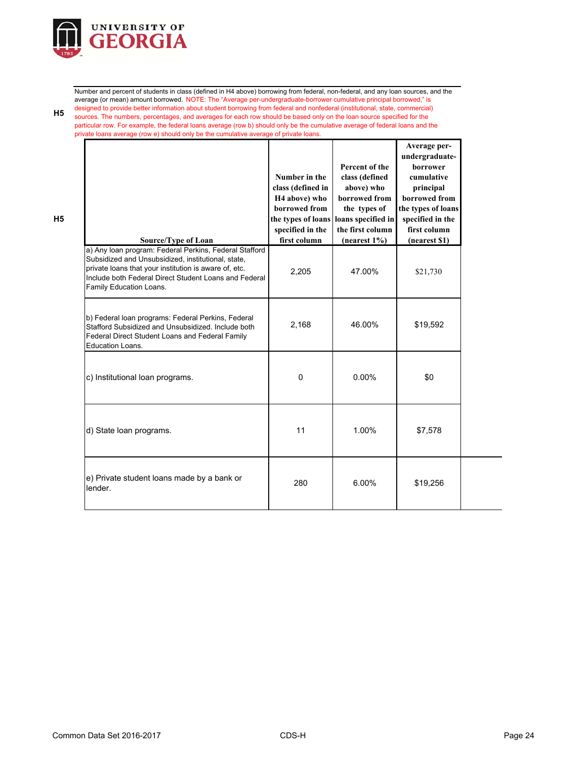

Number and percent of students in class (defined in H4 above) borrowing from federal, non-federal, and any loan sources, and the average (or mean) amount borrowed. NOTE: The "Average per-undergraduate-borrower cumulative principal borrowed," is designed to provide better information about student borrowing from federal and nonfederal (institutional, state, commercial) sources. The numbers, percentages, and averages for each row should be based only on the loan source specified for the particular row. For example, the federal loans average (row b) should only be the cumulative average of federal loans and the private loans average (row e) should only be the cumulative average of private loans.

| Source/Type of Loan                                                                                                                                                                                                                                       | Number in the<br>class (defined in<br>H <sub>4</sub> above) who<br>borrowed from<br>the types of loans<br>specified in the<br>first column | Percent of the<br>class (defined<br>above) who<br>borrowed from<br>the types of<br>loans specified in<br>the first column<br>$(n \text{earest } 1\%)$ | Average per-<br>undergraduate-<br>borrower<br>cumulative<br>principal<br>borrowed from<br>the types of loans<br>specified in the<br>first column<br>(nearest \$1) |  |
|-----------------------------------------------------------------------------------------------------------------------------------------------------------------------------------------------------------------------------------------------------------|--------------------------------------------------------------------------------------------------------------------------------------------|-------------------------------------------------------------------------------------------------------------------------------------------------------|-------------------------------------------------------------------------------------------------------------------------------------------------------------------|--|
| a) Any loan program: Federal Perkins, Federal Stafford<br>Subsidized and Unsubsidized, institutional, state,<br>private loans that your institution is aware of, etc.<br>Include both Federal Direct Student Loans and Federal<br>Family Education Loans. | 2.205                                                                                                                                      | 47.00%                                                                                                                                                | \$21,730                                                                                                                                                          |  |
| b) Federal loan programs: Federal Perkins, Federal<br>Stafford Subsidized and Unsubsidized, Include both<br>Federal Direct Student Loans and Federal Family<br><b>Education Loans.</b>                                                                    | 2,168                                                                                                                                      | 46.00%                                                                                                                                                | \$19,592                                                                                                                                                          |  |
| c) Institutional loan programs.                                                                                                                                                                                                                           | 0                                                                                                                                          | $0.00\%$                                                                                                                                              | \$0                                                                                                                                                               |  |
| d) State loan programs.                                                                                                                                                                                                                                   | 11                                                                                                                                         | 1.00%                                                                                                                                                 | \$7,578                                                                                                                                                           |  |
| e) Private student loans made by a bank or<br>lender.                                                                                                                                                                                                     | 280                                                                                                                                        | 6.00%                                                                                                                                                 | \$19,256                                                                                                                                                          |  |

**H5**

**H5**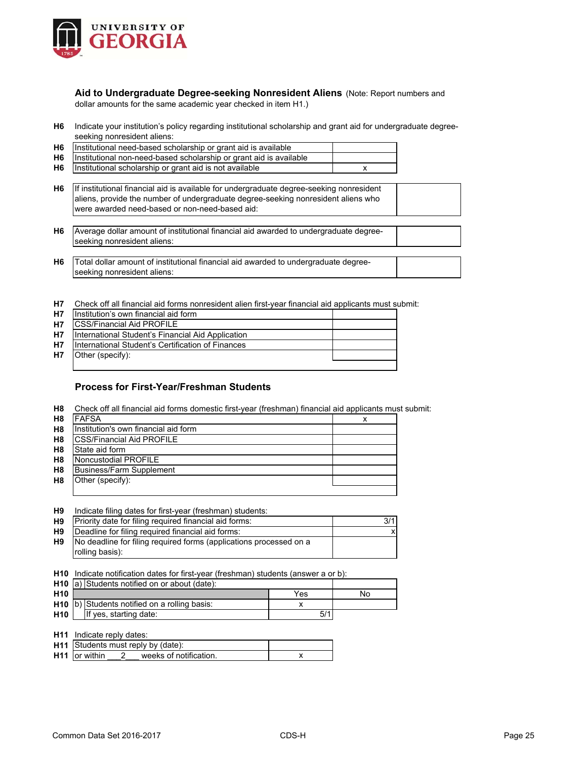

**Aid to Undergraduate Degree-seeking Nonresident Aliens** (Note: Report numbers and dollar amounts for the same academic year checked in item H1.)

**H6** Indicate your institution's policy regarding institutional scholarship and grant aid for undergraduate degreeseeking nonresident aliens:

| H <sub>6</sub> | Institutional need-based scholarship or grant aid is available                                                                                                                                                                  |   |  |
|----------------|---------------------------------------------------------------------------------------------------------------------------------------------------------------------------------------------------------------------------------|---|--|
| H6             | Institutional non-need-based scholarship or grant aid is available                                                                                                                                                              |   |  |
| H <sub>6</sub> | Institutional scholarship or grant aid is not available                                                                                                                                                                         | x |  |
| H <sub>6</sub> | If institutional financial aid is available for undergraduate degree-seeking nonresident<br>aliens, provide the number of undergraduate degree-seeking nonresident aliens who<br>were awarded need-based or non-need-based aid: |   |  |
| H <sub>6</sub> | Average dollar amount of institutional financial aid awarded to undergraduate degree-<br>seeking nonresident aliens:                                                                                                            |   |  |
| H <sub>6</sub> | Total dollar amount of institutional financial aid awarded to undergraduate degree-<br>seeking nonresident aliens:                                                                                                              |   |  |

**H7** Check off all financial aid forms nonresident alien first-year financial aid applicants must submit:

| H7        | Institution's own financial aid form              |  |
|-----------|---------------------------------------------------|--|
| H7        | <b>ICSS/Financial Aid PROFILE</b>                 |  |
| <b>H7</b> | International Student's Financial Aid Application |  |
| H7        | International Student's Certification of Finances |  |
| <b>H7</b> | Other (specify):                                  |  |
|           |                                                   |  |

## **Process for First-Year/Freshman Students**

**H8** Check off all financial aid forms domestic first-year (freshman) financial aid applicants must submit:

| H <sub>8</sub> | <b>FAFSA</b>                         |  |
|----------------|--------------------------------------|--|
| H <sub>8</sub> | Institution's own financial aid form |  |
| H <sub>8</sub> | <b>CSS/Financial Aid PROFILE</b>     |  |
| H <sub>8</sub> | State aid form                       |  |
| H <sub>8</sub> | Noncustodial PROFILE                 |  |
| H <sub>8</sub> | Business/Farm Supplement             |  |
| H <sub>8</sub> | Other (specify):                     |  |
|                |                                      |  |

| H9 |  |  | Indicate filing dates for first-year (freshman) students: |  |
|----|--|--|-----------------------------------------------------------|--|
|----|--|--|-----------------------------------------------------------|--|

| H <sub>9</sub> | Priority date for filing required financial aid forms:             | 3/1 |
|----------------|--------------------------------------------------------------------|-----|
| H <sub>9</sub> | Deadline for filing required financial aid forms:                  |     |
| H <sub>9</sub> | No deadline for filing required forms (applications processed on a |     |
|                | rolling basis):                                                    |     |

**H10** Indicate notification dates for first-year (freshman) students (answer a or b):

|                 | <b>H10</b> $ a\rangle$ Students notified on or about (date): |     |    |
|-----------------|--------------------------------------------------------------|-----|----|
| H <sub>10</sub> |                                                              | Yes | No |
|                 | H <sub>10</sub> b) Students notified on a rolling basis:     |     |    |
| <b>H10</b>      | If yes, starting date:                                       |     |    |

| <b>H11</b> Indicate reply dates: |  |
|----------------------------------|--|
|----------------------------------|--|

| <b>H11</b> Students must reply by (date): |  |                        |  |
|-------------------------------------------|--|------------------------|--|
| <b>H11</b> lor within                     |  | weeks of notification. |  |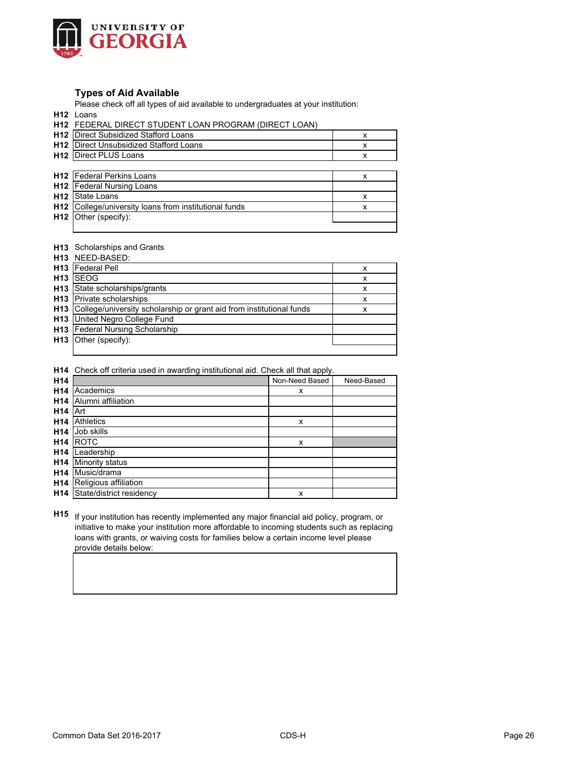

## **Types of Aid Available**

Please check off all types of aid available to undergraduates at your institution:

**H12** Loans

|                 | <b>H12 FEDERAL DIRECT STUDENT LOAN PROGRAM (DIRECT LOAN)</b> |   |
|-----------------|--------------------------------------------------------------|---|
|                 | H12 Direct Subsidized Stafford Loans                         | х |
|                 | <b>H12</b> Direct Unsubsidized Stafford Loans                | х |
|                 | <b>H12</b> Direct PLUS Loans                                 | x |
|                 |                                                              |   |
|                 | <b>H12</b> Federal Perkins Loans                             | x |
|                 | <b>H12</b> Federal Nursing Loans                             |   |
| H <sub>12</sub> | State Loans                                                  | х |
|                 | <b>H12</b> College/university loans from institutional funds | x |
|                 | H12 Other (specify):                                         |   |

#### **H13** Scholarships and Grants

|                 | H <sub>13</sub> NEED-BASED:                                              |   |
|-----------------|--------------------------------------------------------------------------|---|
|                 | <b>H13</b> Federal Pell                                                  | x |
| H <sub>13</sub> | <b>ISEOG</b>                                                             | x |
|                 | H13 State scholarships/grants                                            | x |
|                 | <b>H13</b> Private scholarships                                          | x |
|                 | H13 College/university scholarship or grant aid from institutional funds | x |
|                 | <b>H13</b> United Negro College Fund                                     |   |
|                 | <b>H13</b> Federal Nursing Scholarship                                   |   |
|                 | H13 Other (specify):                                                     |   |
|                 |                                                                          |   |

**H14** Check off criteria used in awarding institutional aid. Check all that apply.

| H <sub>14</sub> |                          | Non-Need Based | Need-Based |
|-----------------|--------------------------|----------------|------------|
| H <sub>14</sub> | Academics                | x              |            |
| H <sub>14</sub> | Alumni affiliation       |                |            |
| H <sub>14</sub> | Art                      |                |            |
| H <sub>14</sub> | <b>Athletics</b>         | X              |            |
| H <sub>14</sub> | Job skills               |                |            |
| H <sub>14</sub> | <b>ROTC</b>              | x              |            |
| H <sub>14</sub> | Leadership               |                |            |
| H <sub>14</sub> | Minority status          |                |            |
| H <sub>14</sub> | Music/drama              |                |            |
| H <sub>14</sub> | Religious affiliation    |                |            |
| H <sub>14</sub> | State/district residency | X              |            |

**H15** If your institution has recently implemented any major financial aid policy, program, or initiative to make your institution more affordable to incoming students such as replacing loans with grants, or waiving costs for families below a certain income level please provide details below: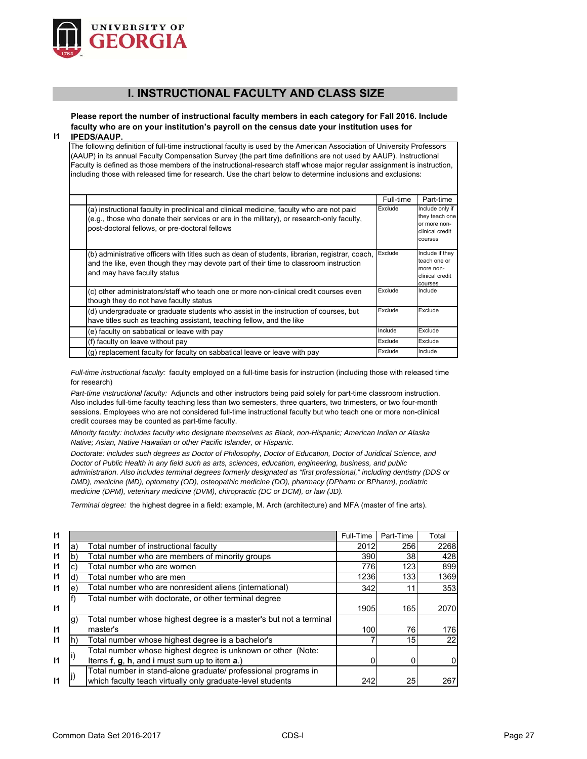

# **I. INSTRUCTIONAL FACULTY AND CLASS SIZE**

**Please report the number of instructional faculty members in each category for Fall 2016. Include faculty who are on your institution's payroll on the census date your institution uses for** 

**I1 IPEDS/AAUP.**

> The following definition of full-time instructional faculty is used by the American Association of University Professors (AAUP) in its annual Faculty Compensation Survey (the part time definitions are not used by AAUP). Instructional Faculty is defined as those members of the instructional-research staff whose major regular assignment is instruction, including those with released time for research. Use the chart below to determine inclusions and exclusions:

|                                                                                                                                                                                                                                         | Full-time | Part-time                                                                       |
|-----------------------------------------------------------------------------------------------------------------------------------------------------------------------------------------------------------------------------------------|-----------|---------------------------------------------------------------------------------|
| (a) instructional faculty in preclinical and clinical medicine, faculty who are not paid<br>(e.g., those who donate their services or are in the military), or research-only faculty,<br>post-doctoral fellows, or pre-doctoral fellows | Exclude   | Include only if<br>they teach one<br>or more non-<br>clinical credit<br>courses |
| (b) administrative officers with titles such as dean of students, librarian, registrar, coach,<br>and the like, even though they may devote part of their time to classroom instruction<br>and may have faculty status                  | Exclude   | Include if they<br>teach one or<br>more non-<br>clinical credit<br>courses      |
| (c) other administrators/staff who teach one or more non-clinical credit courses even<br>though they do not have faculty status                                                                                                         | Exclude   | Include                                                                         |
| (d) undergraduate or graduate students who assist in the instruction of courses, but<br>have titles such as teaching assistant, teaching fellow, and the like                                                                           | Exclude   | Exclude                                                                         |
| (e) faculty on sabbatical or leave with pay                                                                                                                                                                                             | Include   | Exclude                                                                         |
| (f) faculty on leave without pay                                                                                                                                                                                                        | Exclude   | Exclude                                                                         |
| (g) replacement faculty for faculty on sabbatical leave or leave with pay                                                                                                                                                               | Exclude   | Include                                                                         |

*Full-time instructional faculty:* faculty employed on a full-time basis for instruction (including those with released time for research)

*Part-time instructional faculty:* Adjuncts and other instructors being paid solely for part-time classroom instruction. Also includes full-time faculty teaching less than two semesters, three quarters, two trimesters, or two four-month sessions. Employees who are not considered full-time instructional faculty but who teach one or more non-clinical credit courses may be counted as part-time faculty.

*Minority faculty: includes faculty who designate themselves as Black, non-Hispanic; American Indian or Alaska Native; Asian, Native Hawaiian or other Pacific Islander, or Hispanic.* 

*Doctorate: includes such degrees as Doctor of Philosophy, Doctor of Education, Doctor of Juridical Science, and Doctor of Public Health in any field such as arts, sciences, education, engineering, business, and public administration. Also includes terminal degrees formerly designated as "first professional," including dentistry (DDS or DMD), medicine (MD), optometry (OD), osteopathic medicine (DO), pharmacy (DPharm or BPharm), podiatric medicine (DPM), veterinary medicine (DVM), chiropractic (DC or DCM), or law (JD).*

*Terminal degree:* the highest degree in a field: example, M. Arch (architecture) and MFA (master of fine arts).

| $\mathsf{I}$ |    |                                                                    | Full-Time | Part-Time       | Total |
|--------------|----|--------------------------------------------------------------------|-----------|-----------------|-------|
| $\mathsf{I}$ | a) | Total number of instructional faculty                              | 2012      | 256             | 2268  |
| $\mathsf{I}$ | b) | Total number who are members of minority groups                    | 390       | 38              | 428   |
| $\mathsf{I}$ | c1 | Total number who are women                                         | 776       | 123             | 899   |
| $\mathsf{I}$ | d) | Total number who are men                                           | 1236      | 133             | 1369  |
| $\mathsf{I}$ | e) | Total number who are nonresident aliens (international)            | 342       |                 | 353   |
|              |    | Total number with doctorate, or other terminal degree              |           |                 |       |
| $\mathbf{I}$ |    |                                                                    | 1905      | 165             | 2070  |
|              | g) | Total number whose highest degree is a master's but not a terminal |           |                 |       |
| $\mathbf{I}$ |    | master's                                                           | 100       | 76              | 176   |
| $\mathsf{I}$ | n) | Total number whose highest degree is a bachelor's                  |           | 15 <sup>1</sup> | 22    |
|              |    | Total number whose highest degree is unknown or other (Note:       |           |                 |       |
| $\mathsf{I}$ |    | Items f, g, h, and i must sum up to item a.)                       |           |                 | 0     |
|              |    | Total number in stand-alone graduate/ professional programs in     |           |                 |       |
| $\mathbf{I}$ |    | which faculty teach virtually only graduate-level students         | 242       | 25              | 267   |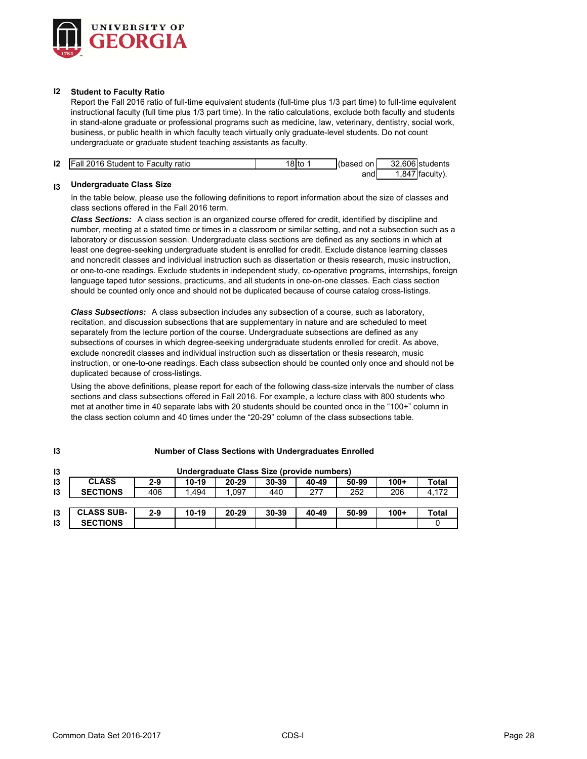

#### **I2 Student to Faculty Ratio**

Report the Fall 2016 ratio of full-time equivalent students (full-time plus 1/3 part time) to full-time equivalent instructional faculty (full time plus 1/3 part time). In the ratio calculations, exclude both faculty and students in stand-alone graduate or professional programs such as medicine, law, veterinary, dentistry, social work, business, or public health in which faculty teach virtually only graduate-level students. Do not count undergraduate or graduate student teaching assistants as faculty.

| 12 | <b>IFall 2016 Student to Faculty ratio</b> | ˈ8lto | (based on I | 32.606 students   |
|----|--------------------------------------------|-------|-------------|-------------------|
|    |                                            |       | andl        | $1,847$ faculty). |

# **I3 Undergraduate Class Size**

In the table below, please use the following definitions to report information about the size of classes and class sections offered in the Fall 2016 term.

*Class Sections:* A class section is an organized course offered for credit, identified by discipline and number, meeting at a stated time or times in a classroom or similar setting, and not a subsection such as a laboratory or discussion session. Undergraduate class sections are defined as any sections in which at least one degree-seeking undergraduate student is enrolled for credit. Exclude distance learning classes and noncredit classes and individual instruction such as dissertation or thesis research, music instruction, or one-to-one readings. Exclude students in independent study, co-operative programs, internships, foreign language taped tutor sessions, practicums, and all students in one-on-one classes. Each class section should be counted only once and should not be duplicated because of course catalog cross-listings.

*Class Subsections:* A class subsection includes any subsection of a course, such as laboratory, recitation, and discussion subsections that are supplementary in nature and are scheduled to meet separately from the lecture portion of the course. Undergraduate subsections are defined as any subsections of courses in which degree-seeking undergraduate students enrolled for credit. As above, exclude noncredit classes and individual instruction such as dissertation or thesis research, music instruction, or one-to-one readings. Each class subsection should be counted only once and should not be duplicated because of cross-listings.

Using the above definitions, please report for each of the following class-size intervals the number of class sections and class subsections offered in Fall 2016. For example, a lecture class with 800 students who met at another time in 40 separate labs with 20 students should be counted once in the "100+" column in the class section column and 40 times under the "20-29" column of the class subsections table.

| 13            |                   | Undergraduate Class Size (provide numbers) |         |       |       |       |       |        |       |  |  |  |
|---------------|-------------------|--------------------------------------------|---------|-------|-------|-------|-------|--------|-------|--|--|--|
| 13            | <b>CLASS</b>      | 2-9                                        | 10-19   | 20-29 | 30-39 | 40-49 | 50-99 | $100+$ | Total |  |  |  |
| $\mathsf{I}3$ | <b>SECTIONS</b>   | 406                                        | 1.494   | .097  | 440   | 277   | 252   | 206    | 4.172 |  |  |  |
|               |                   |                                            |         |       |       |       |       |        |       |  |  |  |
| 13            | <b>CLASS SUB-</b> | $2-9$                                      | $10-19$ | 20-29 | 30-39 | 40-49 | 50-99 | $100+$ | Total |  |  |  |
| 13            | <b>SECTIONS</b>   |                                            |         |       |       |       |       |        |       |  |  |  |

#### **Number of Class Sections with Undergraduates Enrolled**

**I3**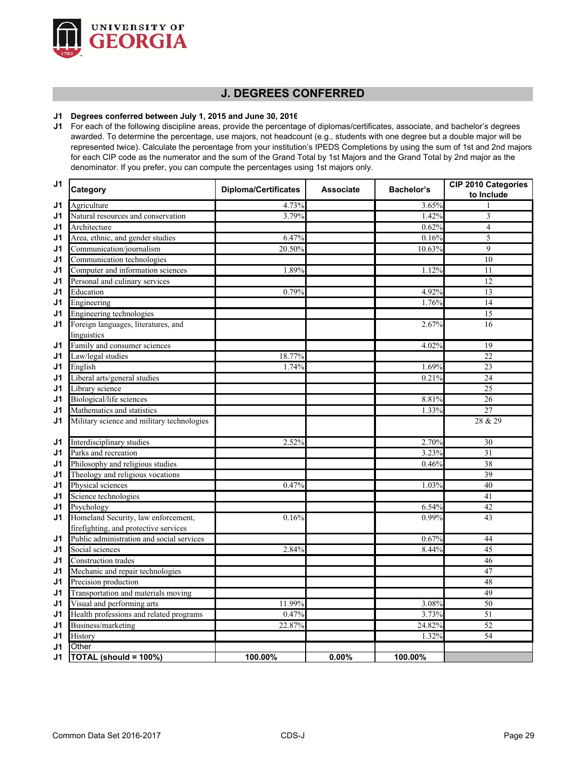

# **J. DEGREES CONFERRED**

## **J1 Degrees conferred between July 1, 2015 and June 30, 2016**

**J1** For each of the following discipline areas, provide the percentage of diplomas/certificates, associate, and bachelor's degrees awarded. To determine the percentage, use majors, not headcount (e.g., students with one degree but a double major will be represented twice). Calculate the percentage from your institution's IPEDS Completions by using the sum of 1st and 2nd majors for each CIP code as the numerator and the sum of the Grand Total by 1st Majors and the Grand Total by 2nd major as the denominator. If you prefer, you can compute the percentages using 1st majors only.

| J <sub>1</sub> | Category                                   | <b>Diploma/Certificates</b> | <b>Associate</b> | <b>Bachelor's</b> | CIP 2010 Categories<br>to Include |  |
|----------------|--------------------------------------------|-----------------------------|------------------|-------------------|-----------------------------------|--|
| J1             | Agriculture                                | 4.73%                       |                  | 3.65%             |                                   |  |
| J1             | Natural resources and conservation         | 3.79%                       |                  | 1.42%             | 3                                 |  |
| J1             | Architecture                               |                             |                  | 0.62%             | $\overline{4}$                    |  |
| J1             | Area, ethnic, and gender studies           | 6.47%                       |                  | 0.16%             | 5                                 |  |
| J1             | Communication/journalism                   | 20.50%                      |                  | 10.63%            | $\mathbf Q$                       |  |
| J1             | Communication technologies                 |                             |                  |                   | 10                                |  |
| J1             | Computer and information sciences          | 1.89%                       |                  | 1.12%             | 11                                |  |
| J1             | Personal and culinary services             |                             |                  |                   | 12                                |  |
| J1             | Education                                  | 0.79%                       |                  | 4.92%             | 13                                |  |
| J1             | Engineering                                |                             |                  | 1.76%             | 14                                |  |
| J1             | Engineering technologies                   |                             |                  |                   | 15                                |  |
| J1             | Foreign languages, literatures, and        |                             |                  | 2.67%             | 16                                |  |
|                | linguistics                                |                             |                  |                   |                                   |  |
| J1             | Family and consumer sciences               |                             |                  | 4.02%             | 19                                |  |
| J1             | Law/legal studies                          | 18.77%                      |                  |                   | 22                                |  |
| J <sub>1</sub> | English                                    | 1.74%                       |                  | 1.69%             | $\overline{23}$                   |  |
| J1             | Liberal arts/general studies               |                             |                  | 0.21%             | 24                                |  |
| J1             | Library science                            |                             |                  |                   | 25                                |  |
| J1             | Biological/life sciences                   |                             |                  | 8.81%             | 26                                |  |
| J1             | Mathematics and statistics                 |                             |                  | 1.33%             | 27                                |  |
| J1             | Military science and military technologies |                             |                  |                   | 28 & 29                           |  |
| J1             | Interdisciplinary studies                  | 2.52%                       |                  | 2.70%             | 30                                |  |
| J1             | Parks and recreation                       |                             |                  | 3.23%             | 31                                |  |
| J1             | Philosophy and religious studies           |                             |                  | 0.46%             | 38                                |  |
| J1             | Theology and religious vocations           |                             |                  |                   | 39                                |  |
| J1             | Physical sciences                          | 0.47%                       |                  | 1.03%             | 40                                |  |
| J1             | Science technologies                       |                             |                  |                   | 41                                |  |
| J1             | Psychology                                 |                             |                  | 6.54%             | 42                                |  |
| J1             | Homeland Security, law enforcement,        | 0.16%                       |                  | 0.99%             | 43                                |  |
|                | firefighting, and protective services      |                             |                  |                   |                                   |  |
| J1             | Public administration and social services  |                             |                  | 0.67%             | 44                                |  |
| J1             | Social sciences                            | 2.84%                       |                  | 8.44%             | 45                                |  |
| J1             | <b>Construction</b> trades                 |                             |                  |                   | 46                                |  |
| J1             | Mechanic and repair technologies           |                             |                  |                   | 47                                |  |
| J1             | Precision production                       |                             |                  |                   | 48                                |  |
| J1             | Transportation and materials moving        |                             |                  |                   | 49                                |  |
| J1             | Visual and performing arts                 | 11.99%                      |                  | 3.08%             | 50                                |  |
| J1             | Health professions and related programs    | 0.47%                       |                  | 3.73%             | 51                                |  |
| J1             | Business/marketing                         | 22.87%                      |                  | 24.82%            | 52                                |  |
| J1             | History                                    |                             |                  | 1.32%             | 54                                |  |
| J1             | Other                                      |                             |                  |                   |                                   |  |
| J1             | TOTAL (should = 100%)                      | 100.00%                     | 0.00%            | 100.00%           |                                   |  |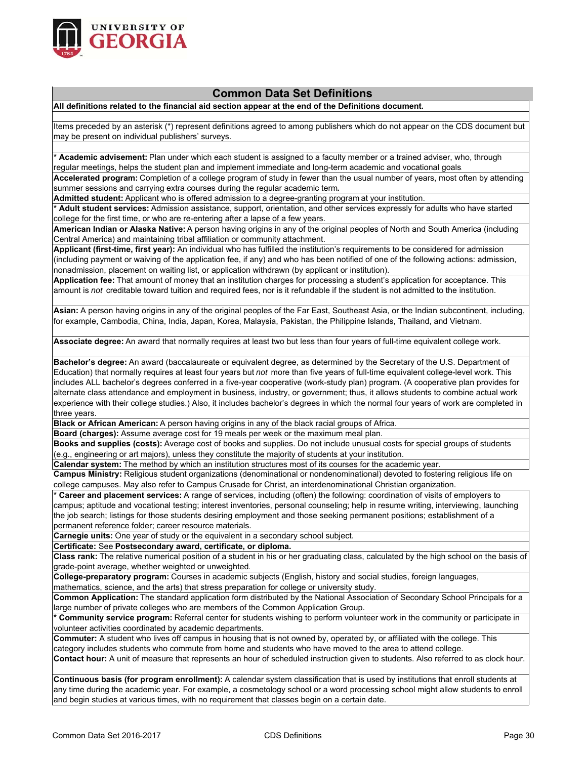

# **Common Data Set Definitions**

**All definitions related to the financial aid section appear at the end of the Definitions document.**

Items preceded by an asterisk (\*) represent definitions agreed to among publishers which do not appear on the CDS document but may be present on individual publishers' surveys.

**\* Academic advisement:** Plan under which each student is assigned to a faculty member or a trained adviser, who, through regular meetings, helps the student plan and implement immediate and long-term academic and vocational goals.

**Accelerated program:** Completion of a college program of study in fewer than the usual number of years, most often by attending summer sessions and carrying extra courses during the regular academic term**.**

**Admitted student:** Applicant who is offered admission to a degree-granting program at your institution.

**\* Adult student services:** Admission assistance, support, orientation, and other services expressly for adults who have started college for the first time, or who are re-entering after a lapse of a few years.

**American Indian or Alaska Native:** A person having origins in any of the original peoples of North and South America (including Central America) and maintaining tribal affiliation or community attachment.

**Applicant (first-time, first year):** An individual who has fulfilled the institution's requirements to be considered for admission (including payment or waiving of the application fee, if any) and who has been notified of one of the following actions: admission, nonadmission, placement on waiting list, or application withdrawn (by applicant or institution).

**Application fee:** That amount of money that an institution charges for processing a student's application for acceptance. This amount is *not* creditable toward tuition and required fees, nor is it refundable if the student is not admitted to the institution.

**Asian:** A person having origins in any of the original peoples of the Far East, Southeast Asia, or the Indian subcontinent, including, for example, Cambodia, China, India, Japan, Korea, Malaysia, Pakistan, the Philippine Islands, Thailand, and Vietnam.

**Associate degree:** An award that normally requires at least two but less than four years of full-time equivalent college work.

**Bachelor's degree:** An award (baccalaureate or equivalent degree, as determined by the Secretary of the U.S. Department of Education) that normally requires at least four years but *not* more than five years of full-time equivalent college-level work. This includes ALL bachelor's degrees conferred in a five-year cooperative (work-study plan) program. (A cooperative plan provides for alternate class attendance and employment in business, industry, or government; thus, it allows students to combine actual work experience with their college studies.) Also, it includes bachelor's degrees in which the normal four years of work are completed in three years.

**Black or African American:** A person having origins in any of the black racial groups of Africa.

**Board (charges):** Assume average cost for 19 meals per week or the maximum meal plan.

**Books and supplies (costs):** Average cost of books and supplies. Do not include unusual costs for special groups of students (e.g., engineering or art majors), unless they constitute the majority of students at your institution.

**Calendar system:** The method by which an institution structures most of its courses for the academic year.

**Campus Ministry:** Religious student organizations (denominational or nondenominational) devoted to fostering religious life on college campuses. May also refer to Campus Crusade for Christ, an interdenominational Christian organization.

**\* Career and placement services:** A range of services, including (often) the following: coordination of visits of employers to campus; aptitude and vocational testing; interest inventories, personal counseling; help in resume writing, interviewing, launching the job search; listings for those students desiring employment and those seeking permanent positions; establishment of a permanent reference folder; career resource materials.

**Carnegie units:** One year of study or the equivalent in a secondary school subject.

**Certificate:** See **Postsecondary award, certificate, or diploma.**

**Class rank:** The relative numerical position of a student in his or her graduating class, calculated by the high school on the basis of grade-point average, whether weighted or unweighted.

**College-preparatory program:** Courses in academic subjects (English, history and social studies, foreign languages, mathematics, science, and the arts) that stress preparation for college or university study.

**Common Application:** The standard application form distributed by the National Association of Secondary School Principals for a large number of private colleges who are members of the Common Application Group.

**\* Community service program:** Referral center for students wishing to perform volunteer work in the community or participate in volunteer activities coordinated by academic departments.

**Commuter:** A student who lives off campus in housing that is not owned by, operated by, or affiliated with the college. This category includes students who commute from home and students who have moved to the area to attend college.

**Contact hour:** A unit of measure that represents an hour of scheduled instruction given to students. Also referred to as clock hour.

**Continuous basis (for program enrollment):** A calendar system classification that is used by institutions that enroll students at any time during the academic year. For example, a cosmetology school or a word processing school might allow students to enroll and begin studies at various times, with no requirement that classes begin on a certain date.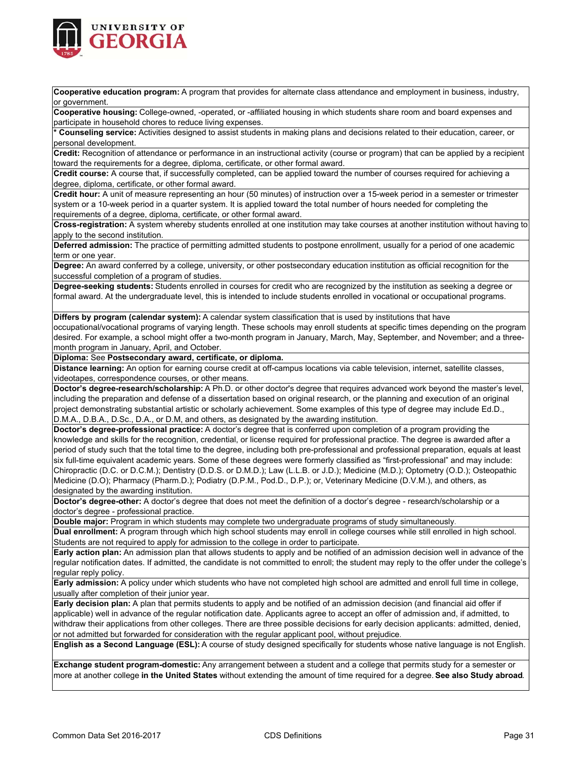

**Cooperative education program:** A program that provides for alternate class attendance and employment in business, industry, or government.

**Cooperative housing:** College-owned, -operated, or -affiliated housing in which students share room and board expenses and participate in household chores to reduce living expenses.

**\* Counseling service:** Activities designed to assist students in making plans and decisions related to their education, career, or personal development.

**Credit:** Recognition of attendance or performance in an instructional activity (course or program) that can be applied by a recipient toward the requirements for a degree, diploma, certificate, or other formal award.

**Credit course:** A course that, if successfully completed, can be applied toward the number of courses required for achieving a degree, diploma, certificate, or other formal award.

**Credit hour:** A unit of measure representing an hour (50 minutes) of instruction over a 15-week period in a semester or trimester system or a 10-week period in a quarter system. It is applied toward the total number of hours needed for completing the requirements of a degree, diploma, certificate, or other formal award.

**Cross-registration:** A system whereby students enrolled at one institution may take courses at another institution without having to apply to the second institution.

**Deferred admission:** The practice of permitting admitted students to postpone enrollment, usually for a period of one academic term or one year.

**Degree:** An award conferred by a college, university, or other postsecondary education institution as official recognition for the successful completion of a program of studies.

**Degree-seeking students:** Students enrolled in courses for credit who are recognized by the institution as seeking a degree or formal award. At the undergraduate level, this is intended to include students enrolled in vocational or occupational programs.

**Differs by program (calendar system):** A calendar system classification that is used by institutions that have

occupational/vocational programs of varying length. These schools may enroll students at specific times depending on the program desired. For example, a school might offer a two-month program in January, March, May, September, and November; and a threemonth program in January, April, and October.

**Diploma:** See **Postsecondary award, certificate, or diploma.**

**Distance learning:** An option for earning course credit at off-campus locations via cable television, internet, satellite classes, videotapes, correspondence courses, or other means.

**Doctor's degree-research/scholarship:** A Ph.D. or other doctor's degree that requires advanced work beyond the master's level, including the preparation and defense of a dissertation based on original research, or the planning and execution of an original project demonstrating substantial artistic or scholarly achievement. Some examples of this type of degree may include Ed.D., D.M.A., D.B.A., D.Sc., D.A., or D.M, and others, as designated by the awarding institution.

**Doctor's degree-professional practice:** A doctor's degree that is conferred upon completion of a program providing the knowledge and skills for the recognition, credential, or license required for professional practice. The degree is awarded after a period of study such that the total time to the degree, including both pre-professional and professional preparation, equals at least six full-time equivalent academic years. Some of these degrees were formerly classified as "first-professional" and may include: Chiropractic (D.C. or D.C.M.); Dentistry (D.D.S. or D.M.D.); Law (L.L.B. or J.D.); Medicine (M.D.); Optometry (O.D.); Osteopathic Medicine (D.O); Pharmacy (Pharm.D.); Podiatry (D.P.M., Pod.D., D.P.); or, Veterinary Medicine (D.V.M.), and others, as designated by the awarding institution.

**Doctor's degree-other:** A doctor's degree that does not meet the definition of a doctor's degree - research/scholarship or a doctor's degree - professional practice.

**Double major:** Program in which students may complete two undergraduate programs of study simultaneously.

**Dual enrollment:** A program through which high school students may enroll in college courses while still enrolled in high school. Students are not required to apply for admission to the college in order to participate.

**Early action plan:** An admission plan that allows students to apply and be notified of an admission decision well in advance of the regular notification dates. If admitted, the candidate is not committed to enroll; the student may reply to the offer under the college's regular reply policy.

**Early admission:** A policy under which students who have not completed high school are admitted and enroll full time in college, usually after completion of their junior year.

**Early decision plan:** A plan that permits students to apply and be notified of an admission decision (and financial aid offer if applicable) well in advance of the regular notification date. Applicants agree to accept an offer of admission and, if admitted, to withdraw their applications from other colleges. There are three possible decisions for early decision applicants: admitted, denied, or not admitted but forwarded for consideration with the regular applicant pool, without prejudice.

**English as a Second Language (ESL):** A course of study designed specifically for students whose native language is not English.

**Exchange student program-domestic:** Any arrangement between a student and a college that permits study for a semester or more at another college **in the United States** without extending the amount of time required for a degree. **See also Study abroad**.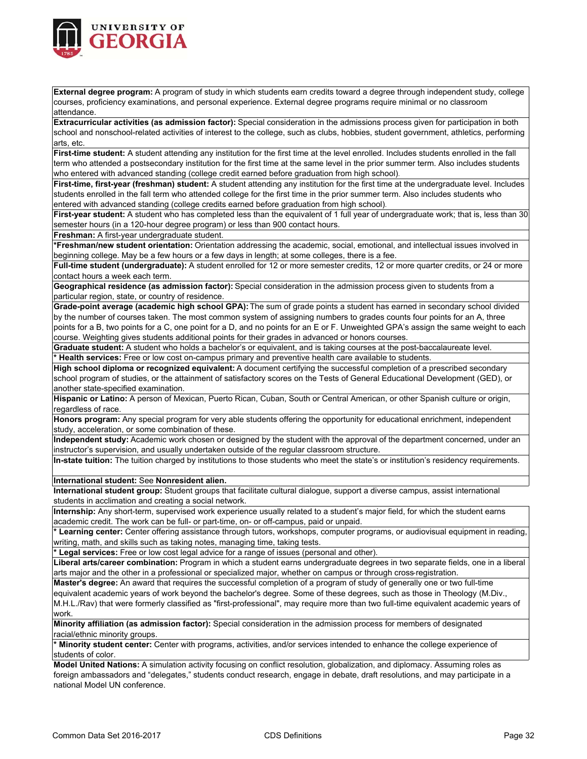

**External degree program:** A program of study in which students earn credits toward a degree through independent study, college courses, proficiency examinations, and personal experience. External degree programs require minimal or no classroom attendance.

**Extracurricular activities (as admission factor):** Special consideration in the admissions process given for participation in both school and nonschool-related activities of interest to the college, such as clubs, hobbies, student government, athletics, performing arts, etc.

**First-time student:** A student attending any institution for the first time at the level enrolled. Includes students enrolled in the fall term who attended a postsecondary institution for the first time at the same level in the prior summer term. Also includes students who entered with advanced standing (college credit earned before graduation from high school).

**First-time, first-year (freshman) student:** A student attending any institution for the first time at the undergraduate level. Includes students enrolled in the fall term who attended college for the first time in the prior summer term. Also includes students who entered with advanced standing (college credits earned before graduation from high school).

**First-year student:** A student who has completed less than the equivalent of 1 full year of undergraduate work; that is, less than 30 semester hours (in a 120-hour degree program) or less than 900 contact hours.

**Freshman:** A first-year undergraduate student.

**\*Freshman/new student orientation:** Orientation addressing the academic, social, emotional, and intellectual issues involved in beginning college. May be a few hours or a few days in length; at some colleges, there is a fee.

**Full-time student (undergraduate):** A student enrolled for 12 or more semester credits, 12 or more quarter credits, or 24 or more contact hours a week each term.

**Geographical residence (as admission factor):** Special consideration in the admission process given to students from a particular region, state, or country of residence.

**Grade-point average (academic high school GPA):** The sum of grade points a student has earned in secondary school divided by the number of courses taken. The most common system of assigning numbers to grades counts four points for an A, three points for a B, two points for a C, one point for a D, and no points for an E or F. Unweighted GPA's assign the same weight to each course. Weighting gives students additional points for their grades in advanced or honors courses.

**Graduate student:** A student who holds a bachelor's or equivalent, and is taking courses at the post-baccalaureate level. **\* Health services:** Free or low cost on-campus primary and preventive health care available to students.

**High school diploma or recognized equivalent:** A document certifying the successful completion of a prescribed secondary school program of studies, or the attainment of satisfactory scores on the Tests of General Educational Development (GED), or another state-specified examination.

**Hispanic or Latino:** A person of Mexican, Puerto Rican, Cuban, South or Central American, or other Spanish culture or origin, regardless of race.

**Honors program:** Any special program for very able students offering the opportunity for educational enrichment, independent study, acceleration, or some combination of these.

**Independent study:** Academic work chosen or designed by the student with the approval of the department concerned, under an instructor's supervision, and usually undertaken outside of the regular classroom structure.

**In-state tuition:** The tuition charged by institutions to those students who meet the state's or institution's residency requirements.

**International student:** See **Nonresident alien.**

**International student group:** Student groups that facilitate cultural dialogue, support a diverse campus, assist international students in acclimation and creating a social network.

**Internship:** Any short-term, supervised work experience usually related to a student's major field, for which the student earns academic credit. The work can be full- or part-time, on- or off-campus, paid or unpaid.

**\* Learning center:** Center offering assistance through tutors, workshops, computer programs, or audiovisual equipment in reading, writing, math, and skills such as taking notes, managing time, taking tests.

**\* Legal services:** Free or low cost legal advice for a range of issues (personal and other).

**Liberal arts/career combination:** Program in which a student earns undergraduate degrees in two separate fields, one in a liberal arts major and the other in a professional or specialized major, whether on campus or through cross‐registration.

**Master's degree:** An award that requires the successful completion of a program of study of generally one or two full-time equivalent academic years of work beyond the bachelor's degree. Some of these degrees, such as those in Theology (M.Div., M.H.L./Rav) that were formerly classified as "first-professional", may require more than two full-time equivalent academic years of

work. **Minority affiliation (as admission factor):** Special consideration in the admission process for members of designated

racial/ethnic minority groups.

**\* Minority student center:** Center with programs, activities, and/or services intended to enhance the college experience of students of color.

**Model United Nations:** A simulation activity focusing on conflict resolution, globalization, and diplomacy. Assuming roles as foreign ambassadors and "delegates," students conduct research, engage in debate, draft resolutions, and may participate in a national Model UN conference.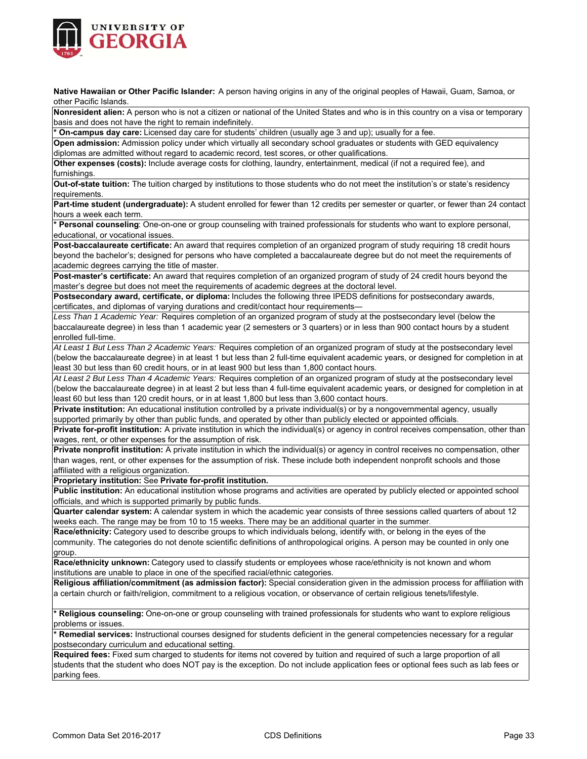

**Native Hawaiian or Other Pacific Islander:** A person having origins in any of the original peoples of Hawaii, Guam, Samoa, or other Pacific Islands.

**Nonresident alien:** A person who is not a citizen or national of the United States and who is in this country on a visa or temporary basis and does not have the right to remain indefinitely.

**\* On-campus day care:** Licensed day care for students' children (usually age 3 and up); usually for a fee.

**Open admission:** Admission policy under which virtually all secondary school graduates or students with GED equivalency diplomas are admitted without regard to academic record, test scores, or other qualifications.

**Other expenses (costs):** Include average costs for clothing, laundry, entertainment, medical (if not a required fee), and furnishings.

**Out-of-state tuition:** The tuition charged by institutions to those students who do not meet the institution's or state's residency requirements.

Part-time student (undergraduate): A student enrolled for fewer than 12 credits per semester or quarter, or fewer than 24 contact hours a week each term.

**\* Personal counseling**: One-on-one or group counseling with trained professionals for students who want to explore personal, educational, or vocational issues.

**Post-baccalaureate certificate:** An award that requires completion of an organized program of study requiring 18 credit hours beyond the bachelor's; designed for persons who have completed a baccalaureate degree but do not meet the requirements of academic degrees carrying the title of master.

**Post-master's certificate:** An award that requires completion of an organized program of study of 24 credit hours beyond the master's degree but does not meet the requirements of academic degrees at the doctoral level.

**Postsecondary award, certificate, or diploma:** Includes the following three IPEDS definitions for postsecondary awards, certificates, and diplomas of varying durations and credit/contact hour requirements—

*Less Than 1 Academic Year:* Requires completion of an organized program of study at the postsecondary level (below the baccalaureate degree) in less than 1 academic year (2 semesters or 3 quarters) or in less than 900 contact hours by a student enrolled full-time.

*At Least 1 But Less Than 2 Academic Years:* Requires completion of an organized program of study at the postsecondary level (below the baccalaureate degree) in at least 1 but less than 2 full-time equivalent academic years, or designed for completion in at least 30 but less than 60 credit hours, or in at least 900 but less than 1,800 contact hours.

*At Least 2 But Less Than 4 Academic Years:* Requires completion of an organized program of study at the postsecondary level (below the baccalaureate degree) in at least 2 but less than 4 full-time equivalent academic years, or designed for completion in at least 60 but less than 120 credit hours, or in at least 1,800 but less than 3,600 contact hours.

**Private institution:** An educational institution controlled by a private individual(s) or by a nongovernmental agency, usually supported primarily by other than public funds, and operated by other than publicly elected or appointed officials.

**Private for-profit institution:** A private institution in which the individual(s) or agency in control receives compensation, other than wages, rent, or other expenses for the assumption of risk.

**Private nonprofit institution:** A private institution in which the individual(s) or agency in control receives no compensation, other than wages, rent, or other expenses for the assumption of risk. These include both independent nonprofit schools and those affiliated with a religious organization.

**Proprietary institution:** See **Private for-profit institution.**

**Public institution:** An educational institution whose programs and activities are operated by publicly elected or appointed school officials, and which is supported primarily by public funds.

**Quarter calendar system:** A calendar system in which the academic year consists of three sessions called quarters of about 12 weeks each. The range may be from 10 to 15 weeks. There may be an additional quarter in the summer.

**Race/ethnicity:** Category used to describe groups to which individuals belong, identify with, or belong in the eyes of the community. The categories do not denote scientific definitions of anthropological origins. A person may be counted in only one group.

**Race/ethnicity unknown:** Category used to classify students or employees whose race/ethnicity is not known and whom institutions are unable to place in one of the specified racial/ethnic categories.

**Religious affiliation/commitment (as admission factor):** Special consideration given in the admission process for affiliation with a certain church or faith/religion, commitment to a religious vocation, or observance of certain religious tenets/lifestyle.

**\* Religious counseling:** One-on-one or group counseling with trained professionals for students who want to explore religious problems or issues.

**\* Remedial services:** Instructional courses designed for students deficient in the general competencies necessary for a regular postsecondary curriculum and educational setting.

**Required fees:** Fixed sum charged to students for items not covered by tuition and required of such a large proportion of all students that the student who does NOT pay is the exception. Do not include application fees or optional fees such as lab fees or parking fees.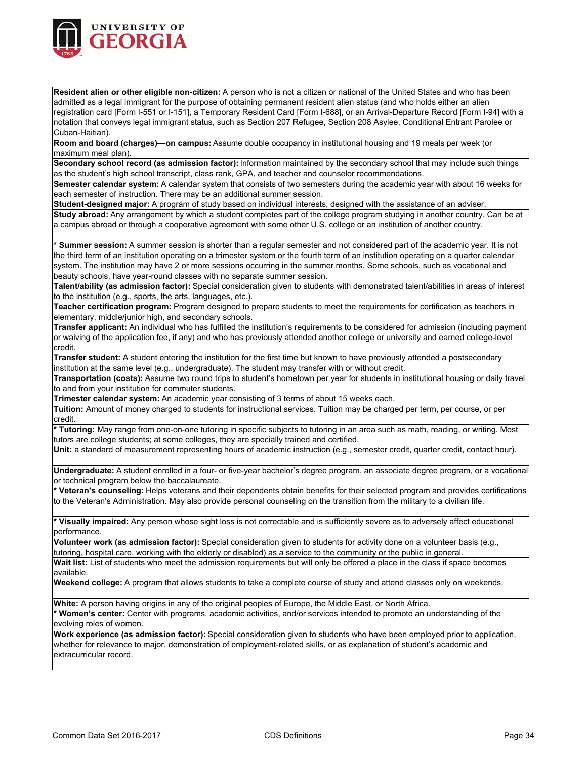

**Resident alien or other eligible non-citizen:** A person who is not a citizen or national of the United States and who has been admitted as a legal immigrant for the purpose of obtaining permanent resident alien status (and who holds either an alien registration card [Form I-551 or I-151], a Temporary Resident Card [Form I-688], or an Arrival-Departure Record [Form I-94] with a notation that conveys legal immigrant status, such as Section 207 Refugee, Section 208 Asylee, Conditional Entrant Parolee or Cuban-Haitian).

**Room and board (charges)—on campus:** Assume double occupancy in institutional housing and 19 meals per week (or maximum meal plan).

**Secondary school record (as admission factor):** Information maintained by the secondary school that may include such things as the student's high school transcript, class rank, GPA, and teacher and counselor recommendations.

**Semester calendar system:** A calendar system that consists of two semesters during the academic year with about 16 weeks for each semester of instruction. There may be an additional summer session.

**Student-designed major:** A program of study based on individual interests, designed with the assistance of an adviser.

**Study abroad:** Any arrangement by which a student completes part of the college program studying in another country. Can be at a campus abroad or through a cooperative agreement with some other U.S. college or an institution of another country.

**\* Summer session:** A summer session is shorter than a regular semester and not considered part of the academic year. It is not the third term of an institution operating on a trimester system or the fourth term of an institution operating on a quarter calendar system. The institution may have 2 or more sessions occurring in the summer months. Some schools, such as vocational and beauty schools, have year-round classes with no separate summer session.

**Talent/ability (as admission factor):** Special consideration given to students with demonstrated talent/abilities in areas of interest to the institution (e.g., sports, the arts, languages, etc.).

**Teacher certification program:** Program designed to prepare students to meet the requirements for certification as teachers in elementary, middle/junior high, and secondary schools.

**Transfer applicant:** An individual who has fulfilled the institution's requirements to be considered for admission (including payment or waiving of the application fee, if any) and who has previously attended another college or university and earned college-level credit.

**Transfer student:** A student entering the institution for the first time but known to have previously attended a postsecondary institution at the same level (e.g., undergraduate). The student may transfer with or without credit.

**Transportation (costs):** Assume two round trips to student's hometown per year for students in institutional housing or daily travel to and from your institution for commuter students.

**Trimester calendar system:** An academic year consisting of 3 terms of about 15 weeks each.

**Tuition:** Amount of money charged to students for instructional services. Tuition may be charged per term, per course, or per credit.

**\* Tutoring:** May range from one-on-one tutoring in specific subjects to tutoring in an area such as math, reading, or writing. Most tutors are college students; at some colleges, they are specially trained and certified.

**Unit:** a standard of measurement representing hours of academic instruction (e.g., semester credit, quarter credit, contact hour).

**Undergraduate:** A student enrolled in a four- or five-year bachelor's degree program, an associate degree program, or a vocational or technical program below the baccalaureate.

**\* Veteran's counseling:** Helps veterans and their dependents obtain benefits for their selected program and provides certifications to the Veteran's Administration. May also provide personal counseling on the transition from the military to a civilian life.

**\* Visually impaired:** Any person whose sight loss is not correctable and is sufficiently severe as to adversely affect educational performance.

**Volunteer work (as admission factor):** Special consideration given to students for activity done on a volunteer basis (e.g., tutoring, hospital care, working with the elderly or disabled) as a service to the community or the public in general.

**Wait list:** List of students who meet the admission requirements but will only be offered a place in the class if space becomes available.

**Weekend college:** A program that allows students to take a complete course of study and attend classes only on weekends.

**White:** A person having origins in any of the original peoples of Europe, the Middle East, or North Africa.

**\* Women's center:** Center with programs, academic activities, and/or services intended to promote an understanding of the evolving roles of women.

**Work experience (as admission factor):** Special consideration given to students who have been employed prior to application, whether for relevance to major, demonstration of employment-related skills, or as explanation of student's academic and extracurricular record.